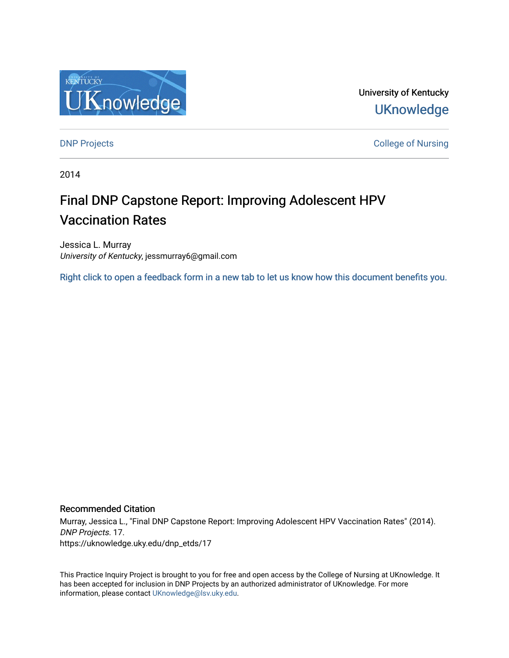

University of Kentucky **UKnowledge** 

**DNP Projects** College of Nursing

2014

# Final DNP Capstone Report: Improving Adolescent HPV Vaccination Rates

Jessica L. Murray University of Kentucky, jessmurray6@gmail.com

[Right click to open a feedback form in a new tab to let us know how this document benefits you.](https://uky.az1.qualtrics.com/jfe/form/SV_9mq8fx2GnONRfz7)

# Recommended Citation

Murray, Jessica L., "Final DNP Capstone Report: Improving Adolescent HPV Vaccination Rates" (2014). DNP Projects. 17. https://uknowledge.uky.edu/dnp\_etds/17

This Practice Inquiry Project is brought to you for free and open access by the College of Nursing at UKnowledge. It has been accepted for inclusion in DNP Projects by an authorized administrator of UKnowledge. For more information, please contact [UKnowledge@lsv.uky.edu](mailto:UKnowledge@lsv.uky.edu).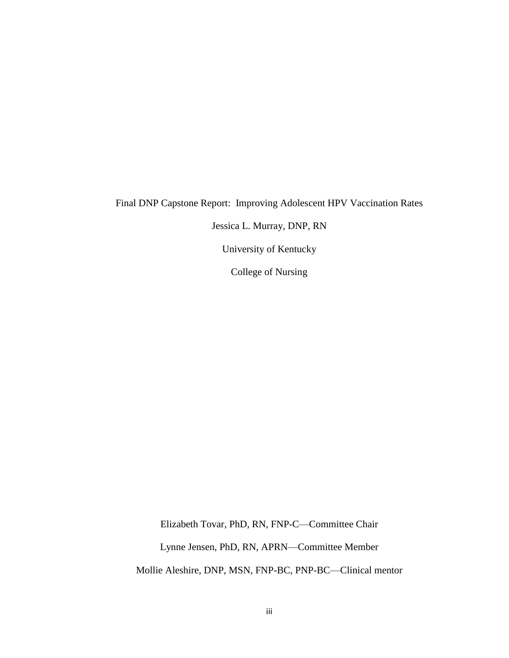# Final DNP Capstone Report: Improving Adolescent HPV Vaccination Rates

Jessica L. Murray, DNP, RN

University of Kentucky

College of Nursing

Elizabeth Tovar, PhD, RN, FNP-C—Committee Chair Lynne Jensen, PhD, RN, APRN—Committee Member Mollie Aleshire, DNP, MSN, FNP-BC, PNP-BC—Clinical mentor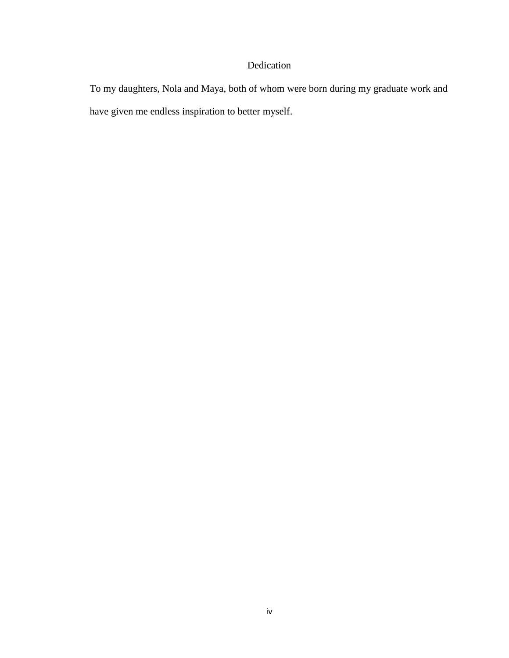# Dedication

To my daughters, Nola and Maya, both of whom were born during my graduate work and have given me endless inspiration to better myself.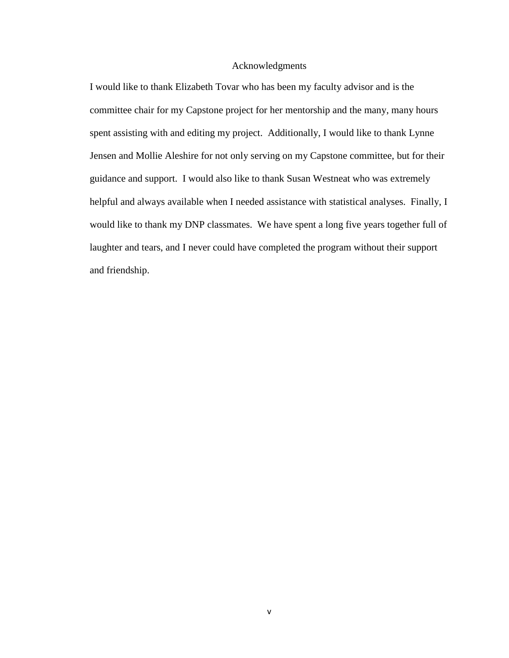# Acknowledgments

I would like to thank Elizabeth Tovar who has been my faculty advisor and is the committee chair for my Capstone project for her mentorship and the many, many hours spent assisting with and editing my project. Additionally, I would like to thank Lynne Jensen and Mollie Aleshire for not only serving on my Capstone committee, but for their guidance and support. I would also like to thank Susan Westneat who was extremely helpful and always available when I needed assistance with statistical analyses. Finally, I would like to thank my DNP classmates. We have spent a long five years together full of laughter and tears, and I never could have completed the program without their support and friendship.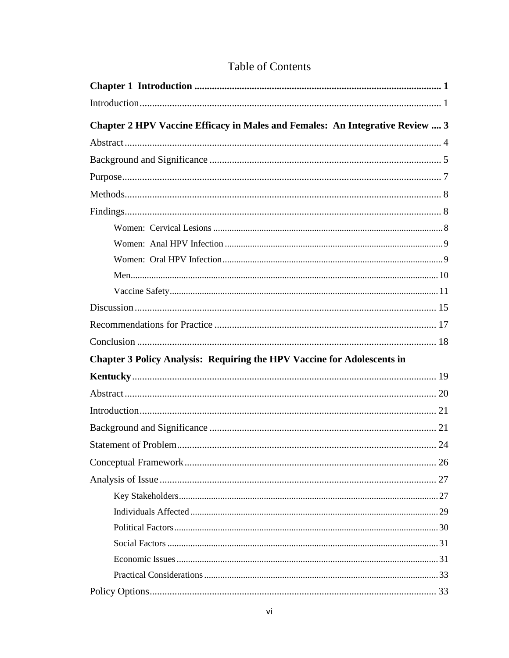|  | <b>Table of Contents</b> |
|--|--------------------------|
|  |                          |

| Chapter 2 HPV Vaccine Efficacy in Males and Females: An Integrative Review  3  |  |
|--------------------------------------------------------------------------------|--|
|                                                                                |  |
|                                                                                |  |
|                                                                                |  |
|                                                                                |  |
|                                                                                |  |
|                                                                                |  |
|                                                                                |  |
|                                                                                |  |
|                                                                                |  |
|                                                                                |  |
|                                                                                |  |
|                                                                                |  |
|                                                                                |  |
| <b>Chapter 3 Policy Analysis: Requiring the HPV Vaccine for Adolescents in</b> |  |
|                                                                                |  |
|                                                                                |  |
|                                                                                |  |
|                                                                                |  |
|                                                                                |  |
|                                                                                |  |
|                                                                                |  |
|                                                                                |  |
|                                                                                |  |
|                                                                                |  |
|                                                                                |  |
|                                                                                |  |
|                                                                                |  |
|                                                                                |  |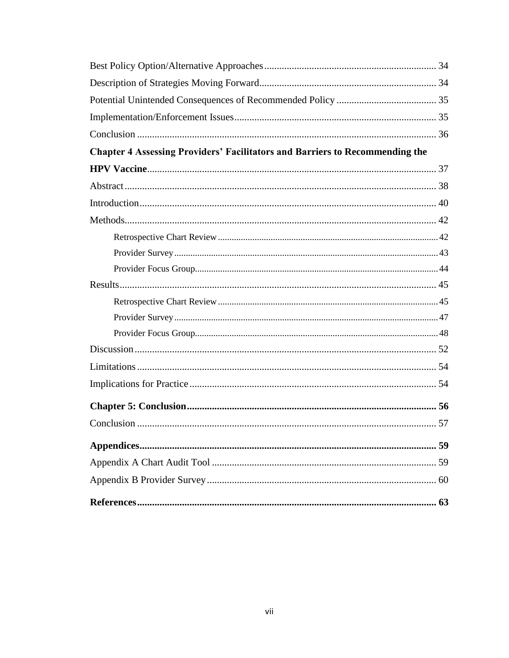| <b>Chapter 4 Assessing Providers' Facilitators and Barriers to Recommending the</b> |  |
|-------------------------------------------------------------------------------------|--|
|                                                                                     |  |
|                                                                                     |  |
|                                                                                     |  |
|                                                                                     |  |
|                                                                                     |  |
|                                                                                     |  |
|                                                                                     |  |
|                                                                                     |  |
|                                                                                     |  |
|                                                                                     |  |
|                                                                                     |  |
|                                                                                     |  |
|                                                                                     |  |
|                                                                                     |  |
|                                                                                     |  |
|                                                                                     |  |
|                                                                                     |  |
|                                                                                     |  |
|                                                                                     |  |
|                                                                                     |  |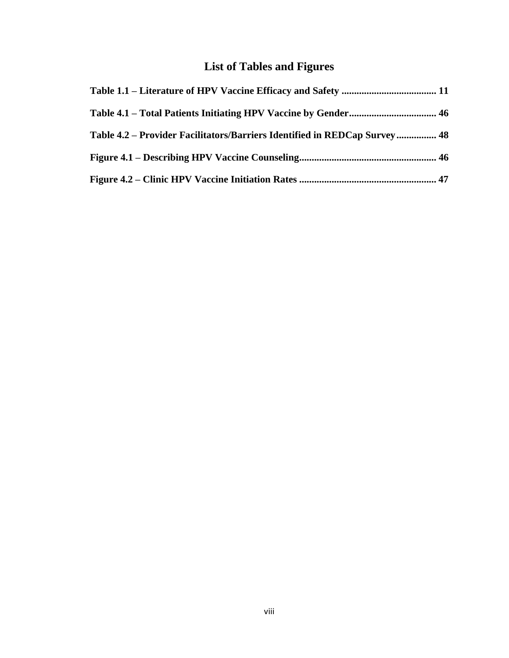# **List of Tables and Figures**

| Table 4.2 – Provider Facilitators/Barriers Identified in REDCap Survey 48 |  |
|---------------------------------------------------------------------------|--|
|                                                                           |  |
|                                                                           |  |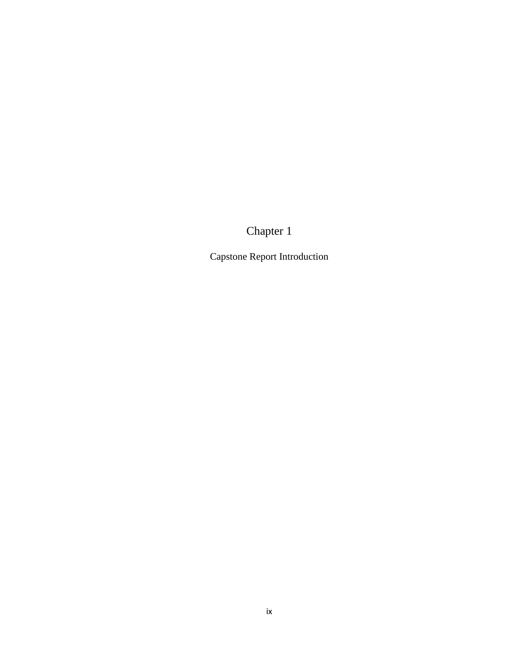# Chapter 1

Capstone Report Introduction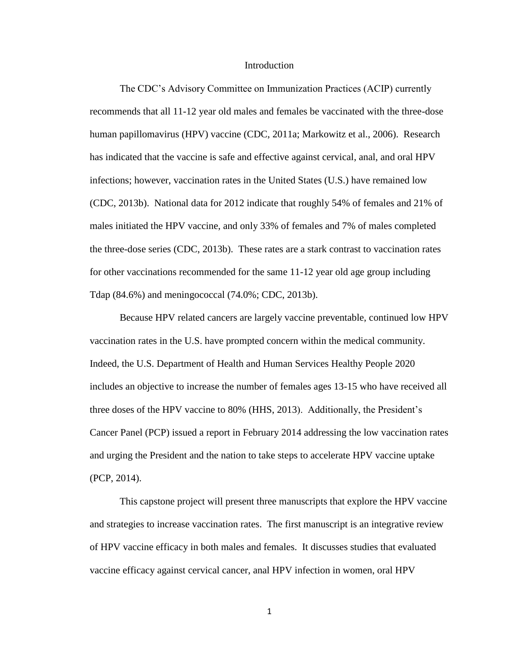#### Introduction

The CDC's Advisory Committee on Immunization Practices (ACIP) currently recommends that all 11-12 year old males and females be vaccinated with the three-dose human papillomavirus (HPV) vaccine (CDC, 2011a; Markowitz et al., 2006). Research has indicated that the vaccine is safe and effective against cervical, anal, and oral HPV infections; however, vaccination rates in the United States (U.S.) have remained low (CDC, 2013b). National data for 2012 indicate that roughly 54% of females and 21% of males initiated the HPV vaccine, and only 33% of females and 7% of males completed the three-dose series (CDC, 2013b). These rates are a stark contrast to vaccination rates for other vaccinations recommended for the same 11-12 year old age group including Tdap (84.6%) and meningococcal (74.0%; CDC, 2013b).

Because HPV related cancers are largely vaccine preventable, continued low HPV vaccination rates in the U.S. have prompted concern within the medical community. Indeed, the U.S. Department of Health and Human Services Healthy People 2020 includes an objective to increase the number of females ages 13-15 who have received all three doses of the HPV vaccine to 80% (HHS, 2013). Additionally, the President's Cancer Panel (PCP) issued a report in February 2014 addressing the low vaccination rates and urging the President and the nation to take steps to accelerate HPV vaccine uptake (PCP, 2014).

This capstone project will present three manuscripts that explore the HPV vaccine and strategies to increase vaccination rates. The first manuscript is an integrative review of HPV vaccine efficacy in both males and females. It discusses studies that evaluated vaccine efficacy against cervical cancer, anal HPV infection in women, oral HPV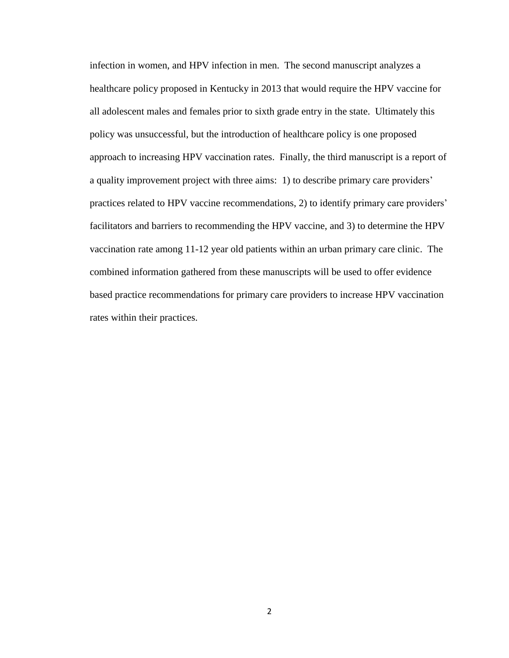infection in women, and HPV infection in men. The second manuscript analyzes a healthcare policy proposed in Kentucky in 2013 that would require the HPV vaccine for all adolescent males and females prior to sixth grade entry in the state. Ultimately this policy was unsuccessful, but the introduction of healthcare policy is one proposed approach to increasing HPV vaccination rates. Finally, the third manuscript is a report of a quality improvement project with three aims: 1) to describe primary care providers' practices related to HPV vaccine recommendations, 2) to identify primary care providers' facilitators and barriers to recommending the HPV vaccine, and 3) to determine the HPV vaccination rate among 11-12 year old patients within an urban primary care clinic. The combined information gathered from these manuscripts will be used to offer evidence based practice recommendations for primary care providers to increase HPV vaccination rates within their practices.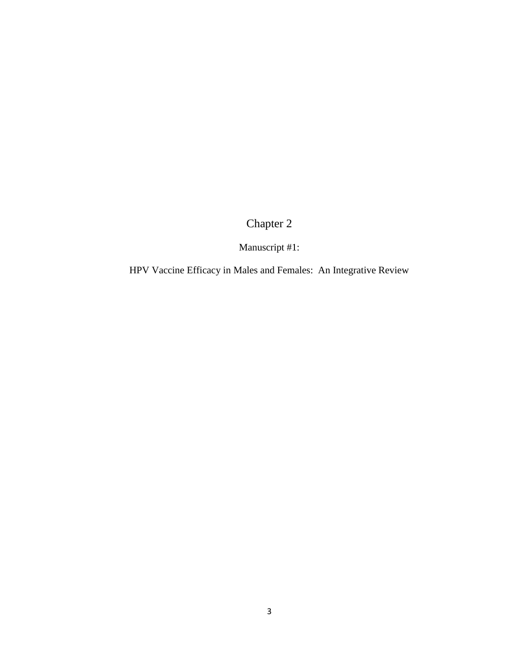Chapter 2

Manuscript #1:

HPV Vaccine Efficacy in Males and Females: An Integrative Review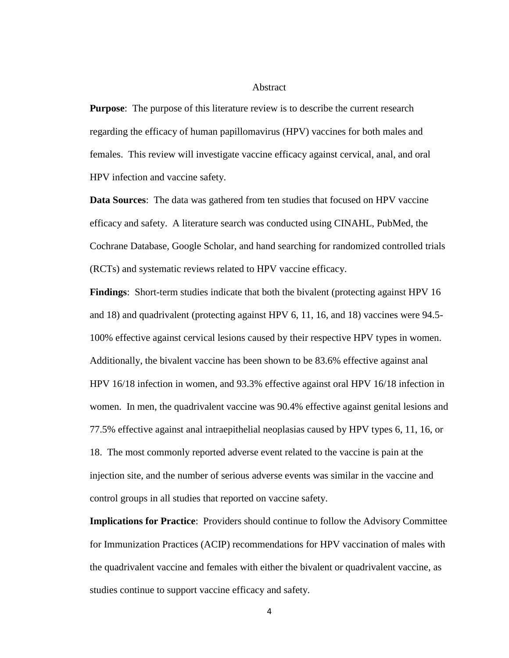# Abstract

**Purpose**: The purpose of this literature review is to describe the current research regarding the efficacy of human papillomavirus (HPV) vaccines for both males and females. This review will investigate vaccine efficacy against cervical, anal, and oral HPV infection and vaccine safety.

**Data Sources**: The data was gathered from ten studies that focused on HPV vaccine efficacy and safety. A literature search was conducted using CINAHL, PubMed, the Cochrane Database, Google Scholar, and hand searching for randomized controlled trials (RCTs) and systematic reviews related to HPV vaccine efficacy.

**Findings**: Short-term studies indicate that both the bivalent (protecting against HPV 16 and 18) and quadrivalent (protecting against HPV 6, 11, 16, and 18) vaccines were 94.5- 100% effective against cervical lesions caused by their respective HPV types in women. Additionally, the bivalent vaccine has been shown to be 83.6% effective against anal HPV 16/18 infection in women, and 93.3% effective against oral HPV 16/18 infection in women. In men, the quadrivalent vaccine was 90.4% effective against genital lesions and 77.5% effective against anal intraepithelial neoplasias caused by HPV types 6, 11, 16, or 18. The most commonly reported adverse event related to the vaccine is pain at the injection site, and the number of serious adverse events was similar in the vaccine and control groups in all studies that reported on vaccine safety.

**Implications for Practice**: Providers should continue to follow the Advisory Committee for Immunization Practices (ACIP) recommendations for HPV vaccination of males with the quadrivalent vaccine and females with either the bivalent or quadrivalent vaccine, as studies continue to support vaccine efficacy and safety.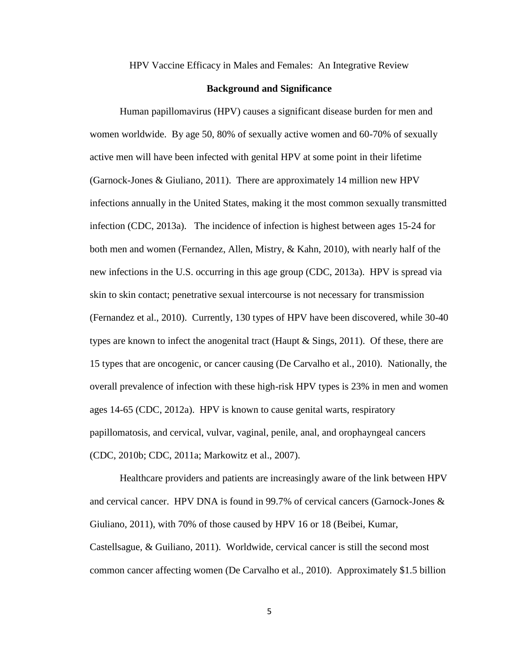HPV Vaccine Efficacy in Males and Females: An Integrative Review

# **Background and Significance**

Human papillomavirus (HPV) causes a significant disease burden for men and women worldwide. By age 50, 80% of sexually active women and 60-70% of sexually active men will have been infected with genital HPV at some point in their lifetime (Garnock-Jones & Giuliano, 2011). There are approximately 14 million new HPV infections annually in the United States, making it the most common sexually transmitted infection (CDC, 2013a). The incidence of infection is highest between ages 15-24 for both men and women (Fernandez, Allen, Mistry, & Kahn, 2010), with nearly half of the new infections in the U.S. occurring in this age group (CDC, 2013a). HPV is spread via skin to skin contact; penetrative sexual intercourse is not necessary for transmission (Fernandez et al., 2010). Currently, 130 types of HPV have been discovered, while 30-40 types are known to infect the anogenital tract (Haupt & Sings, 2011). Of these, there are 15 types that are oncogenic, or cancer causing (De Carvalho et al., 2010). Nationally, the overall prevalence of infection with these high-risk HPV types is 23% in men and women ages 14-65 (CDC, 2012a). HPV is known to cause genital warts, respiratory papillomatosis, and cervical, vulvar, vaginal, penile, anal, and orophayngeal cancers (CDC, 2010b; CDC, 2011a; Markowitz et al., 2007).

Healthcare providers and patients are increasingly aware of the link between HPV and cervical cancer. HPV DNA is found in 99.7% of cervical cancers (Garnock-Jones & Giuliano, 2011), with 70% of those caused by HPV 16 or 18 (Beibei, Kumar, Castellsague, & Guiliano, 2011). Worldwide, cervical cancer is still the second most common cancer affecting women (De Carvalho et al., 2010). Approximately \$1.5 billion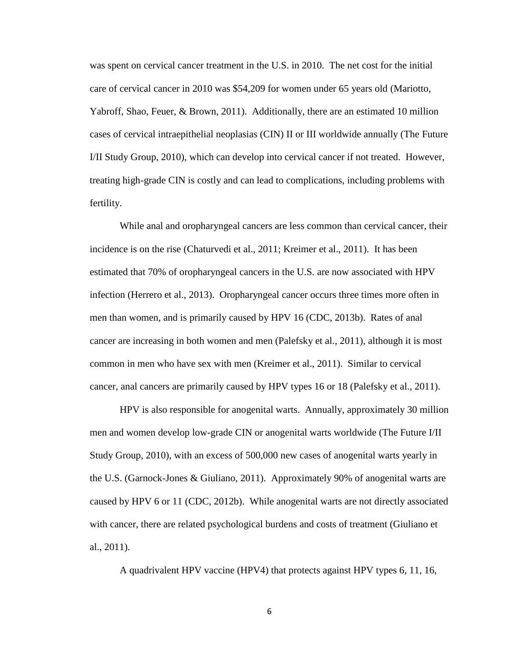was spent on cervical cancer treatment in the U.S. in 2010. The net cost for the initial care of cervical cancer in 2010 was \$54,209 for women under 65 years old (Mariotto, Yabroff, Shao, Feuer, & Brown, 2011). Additionally, there are an estimated 10 million cases of cervical intraepithelial neoplasias (CIN) II or III worldwide annually (The Future I/II Study Group, 2010), which can develop into cervical cancer if not treated. However, treating high-grade CIN is costly and can lead to complications, including problems with fertility.

While anal and oropharyngeal cancers are less common than cervical cancer, their incidence is on the rise (Chaturvedi et al., 2011; Kreimer et al., 2011). It has been estimated that 70% of oropharyngeal cancers in the U.S. are now associated with HPV infection (Herrero et al., 2013). Oropharyngeal cancer occurs three times more often in men than women, and is primarily caused by HPV 16 (CDC, 2013b). Rates of anal cancer are increasing in both women and men (Palefsky et al., 2011), although it is most common in men who have sex with men (Kreimer et al., 2011). Similar to cervical cancer, anal cancers are primarily caused by HPV types 16 or 18 (Palefsky et al., 2011).

HPV is also responsible for anogenital warts. Annually, approximately 30 million men and women develop low-grade CIN or anogenital warts worldwide (The Future I/II Study Group, 2010), with an excess of 500,000 new cases of anogenital warts yearly in the U.S. (Garnock-Jones & Giuliano, 2011). Approximately 90% of anogenital warts are caused by HPV 6 or 11 (CDC, 2012b). While anogenital warts are not directly associated with cancer, there are related psychological burdens and costs of treatment (Giuliano et al., 2011).

A quadrivalent HPV vaccine (HPV4) that protects against HPV types 6, 11, 16,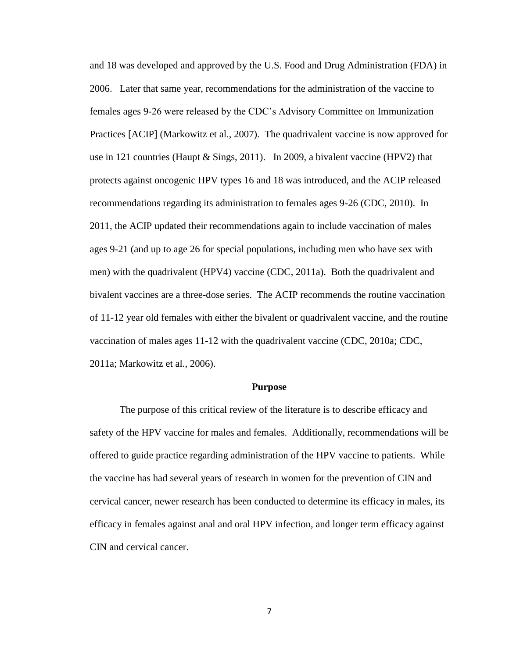and 18 was developed and approved by the U.S. Food and Drug Administration (FDA) in 2006. Later that same year, recommendations for the administration of the vaccine to females ages 9-26 were released by the CDC's Advisory Committee on Immunization Practices [ACIP] (Markowitz et al., 2007). The quadrivalent vaccine is now approved for use in 121 countries (Haupt & Sings, 2011). In 2009, a bivalent vaccine (HPV2) that protects against oncogenic HPV types 16 and 18 was introduced, and the ACIP released recommendations regarding its administration to females ages 9-26 (CDC, 2010). In 2011, the ACIP updated their recommendations again to include vaccination of males ages 9-21 (and up to age 26 for special populations, including men who have sex with men) with the quadrivalent (HPV4) vaccine (CDC, 2011a). Both the quadrivalent and bivalent vaccines are a three-dose series. The ACIP recommends the routine vaccination of 11-12 year old females with either the bivalent or quadrivalent vaccine, and the routine vaccination of males ages 11-12 with the quadrivalent vaccine (CDC, 2010a; CDC, 2011a; Markowitz et al., 2006).

#### **Purpose**

The purpose of this critical review of the literature is to describe efficacy and safety of the HPV vaccine for males and females. Additionally, recommendations will be offered to guide practice regarding administration of the HPV vaccine to patients. While the vaccine has had several years of research in women for the prevention of CIN and cervical cancer, newer research has been conducted to determine its efficacy in males, its efficacy in females against anal and oral HPV infection, and longer term efficacy against CIN and cervical cancer.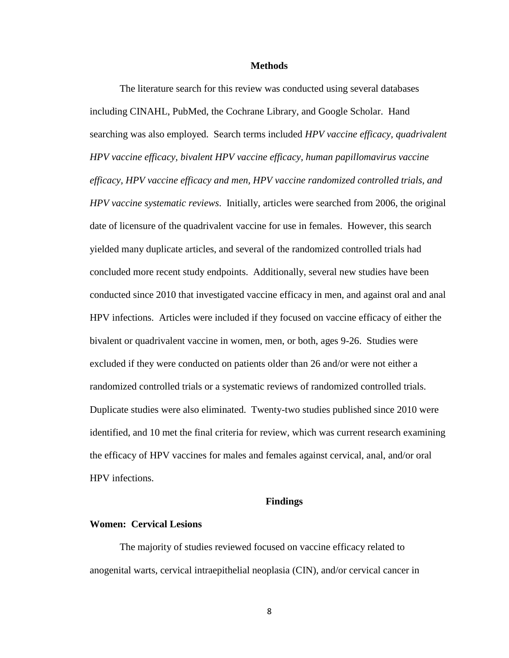#### **Methods**

The literature search for this review was conducted using several databases including CINAHL, PubMed, the Cochrane Library, and Google Scholar. Hand searching was also employed. Search terms included *HPV vaccine efficacy, quadrivalent HPV vaccine efficacy, bivalent HPV vaccine efficacy, human papillomavirus vaccine efficacy, HPV vaccine efficacy and men, HPV vaccine randomized controlled trials, and HPV vaccine systematic reviews*. Initially, articles were searched from 2006, the original date of licensure of the quadrivalent vaccine for use in females. However, this search yielded many duplicate articles, and several of the randomized controlled trials had concluded more recent study endpoints. Additionally, several new studies have been conducted since 2010 that investigated vaccine efficacy in men, and against oral and anal HPV infections. Articles were included if they focused on vaccine efficacy of either the bivalent or quadrivalent vaccine in women, men, or both, ages 9-26. Studies were excluded if they were conducted on patients older than 26 and/or were not either a randomized controlled trials or a systematic reviews of randomized controlled trials. Duplicate studies were also eliminated. Twenty-two studies published since 2010 were identified, and 10 met the final criteria for review, which was current research examining the efficacy of HPV vaccines for males and females against cervical, anal, and/or oral HPV infections.

#### **Findings**

# **Women: Cervical Lesions**

The majority of studies reviewed focused on vaccine efficacy related to anogenital warts, cervical intraepithelial neoplasia (CIN), and/or cervical cancer in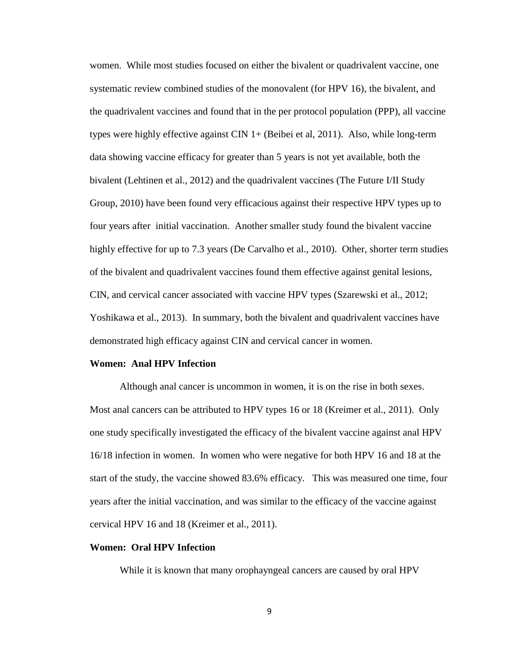women. While most studies focused on either the bivalent or quadrivalent vaccine, one systematic review combined studies of the monovalent (for HPV 16), the bivalent, and the quadrivalent vaccines and found that in the per protocol population (PPP), all vaccine types were highly effective against CIN 1+ (Beibei et al, 2011). Also, while long-term data showing vaccine efficacy for greater than 5 years is not yet available, both the bivalent (Lehtinen et al., 2012) and the quadrivalent vaccines (The Future I/II Study Group, 2010) have been found very efficacious against their respective HPV types up to four years after initial vaccination. Another smaller study found the bivalent vaccine highly effective for up to 7.3 years (De Carvalho et al., 2010). Other, shorter term studies of the bivalent and quadrivalent vaccines found them effective against genital lesions, CIN, and cervical cancer associated with vaccine HPV types (Szarewski et al., 2012; Yoshikawa et al., 2013). In summary, both the bivalent and quadrivalent vaccines have demonstrated high efficacy against CIN and cervical cancer in women.

### **Women: Anal HPV Infection**

Although anal cancer is uncommon in women, it is on the rise in both sexes. Most anal cancers can be attributed to HPV types 16 or 18 (Kreimer et al., 2011). Only one study specifically investigated the efficacy of the bivalent vaccine against anal HPV 16/18 infection in women. In women who were negative for both HPV 16 and 18 at the start of the study, the vaccine showed 83.6% efficacy. This was measured one time, four years after the initial vaccination, and was similar to the efficacy of the vaccine against cervical HPV 16 and 18 (Kreimer et al., 2011).

# **Women: Oral HPV Infection**

While it is known that many orophayngeal cancers are caused by oral HPV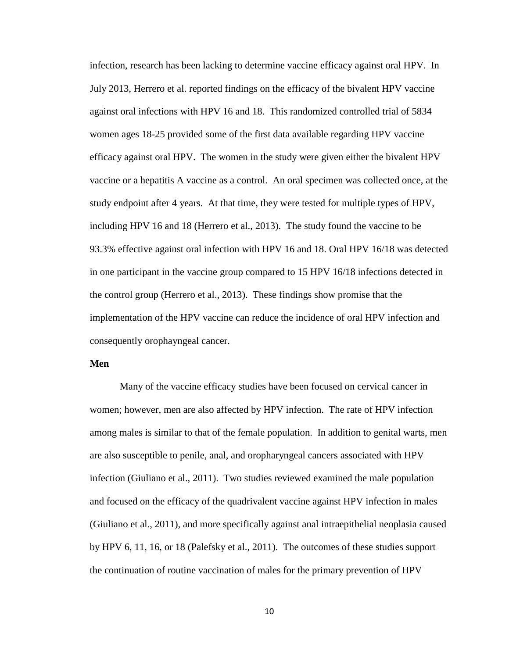infection, research has been lacking to determine vaccine efficacy against oral HPV. In July 2013, Herrero et al. reported findings on the efficacy of the bivalent HPV vaccine against oral infections with HPV 16 and 18. This randomized controlled trial of 5834 women ages 18-25 provided some of the first data available regarding HPV vaccine efficacy against oral HPV. The women in the study were given either the bivalent HPV vaccine or a hepatitis A vaccine as a control. An oral specimen was collected once, at the study endpoint after 4 years. At that time, they were tested for multiple types of HPV, including HPV 16 and 18 (Herrero et al., 2013). The study found the vaccine to be 93.3% effective against oral infection with HPV 16 and 18. Oral HPV 16/18 was detected in one participant in the vaccine group compared to 15 HPV 16/18 infections detected in the control group (Herrero et al., 2013). These findings show promise that the implementation of the HPV vaccine can reduce the incidence of oral HPV infection and consequently orophayngeal cancer.

# **Men**

Many of the vaccine efficacy studies have been focused on cervical cancer in women; however, men are also affected by HPV infection. The rate of HPV infection among males is similar to that of the female population. In addition to genital warts, men are also susceptible to penile, anal, and oropharyngeal cancers associated with HPV infection (Giuliano et al., 2011). Two studies reviewed examined the male population and focused on the efficacy of the quadrivalent vaccine against HPV infection in males (Giuliano et al., 2011), and more specifically against anal intraepithelial neoplasia caused by HPV 6, 11, 16, or 18 (Palefsky et al., 2011). The outcomes of these studies support the continuation of routine vaccination of males for the primary prevention of HPV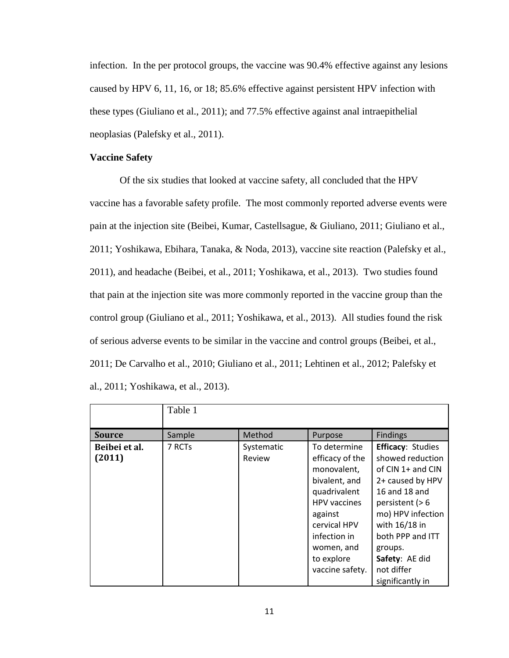infection. In the per protocol groups, the vaccine was 90.4% effective against any lesions caused by HPV 6, 11, 16, or 18; 85.6% effective against persistent HPV infection with these types (Giuliano et al., 2011); and 77.5% effective against anal intraepithelial neoplasias (Palefsky et al., 2011).

# **Vaccine Safety**

Of the six studies that looked at vaccine safety, all concluded that the HPV vaccine has a favorable safety profile. The most commonly reported adverse events were pain at the injection site (Beibei, Kumar, Castellsague, & Giuliano, 2011; Giuliano et al., 2011; Yoshikawa, Ebihara, Tanaka, & Noda, 2013), vaccine site reaction (Palefsky et al., 2011), and headache (Beibei, et al., 2011; Yoshikawa, et al., 2013). Two studies found that pain at the injection site was more commonly reported in the vaccine group than the control group (Giuliano et al., 2011; Yoshikawa, et al., 2013). All studies found the risk of serious adverse events to be similar in the vaccine and control groups (Beibei, et al., 2011; De Carvalho et al., 2010; Giuliano et al., 2011; Lehtinen et al., 2012; Palefsky et al., 2011; Yoshikawa, et al., 2013).

|                         | Table 1 |                      |                                                                                                                                                                                                  |                                                                                                                                                                                                                                                      |
|-------------------------|---------|----------------------|--------------------------------------------------------------------------------------------------------------------------------------------------------------------------------------------------|------------------------------------------------------------------------------------------------------------------------------------------------------------------------------------------------------------------------------------------------------|
| <b>Source</b>           | Sample  | Method               | Purpose                                                                                                                                                                                          | <b>Findings</b>                                                                                                                                                                                                                                      |
| Beibei et al.<br>(2011) | 7 RCTs  | Systematic<br>Review | To determine<br>efficacy of the<br>monovalent,<br>bivalent, and<br>quadrivalent<br><b>HPV</b> vaccines<br>against<br>cervical HPV<br>infection in<br>women, and<br>to explore<br>vaccine safety. | <b>Efficacy: Studies</b><br>showed reduction<br>of CIN 1+ and CIN<br>2+ caused by HPV<br>16 and 18 and<br>persistent $(> 6$<br>mo) HPV infection<br>with 16/18 in<br>both PPP and ITT<br>groups.<br>Safety: AE did<br>not differ<br>significantly in |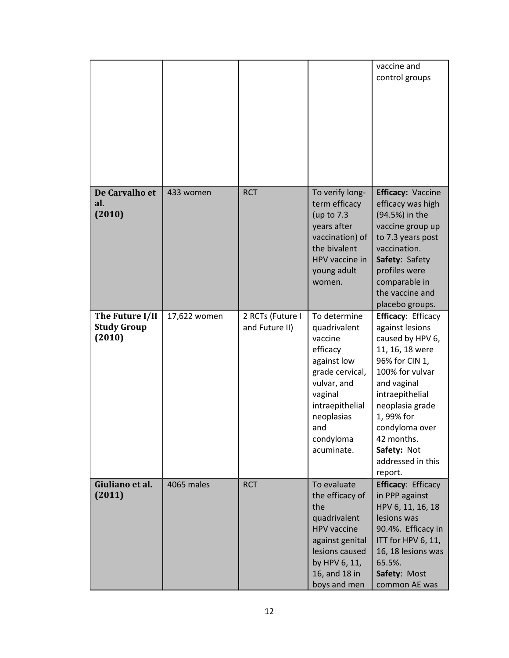|                                                 |              |                                    |                                                                                                                                                                                    | vaccine and<br>control groups                                                                                                                                                                                                                                      |
|-------------------------------------------------|--------------|------------------------------------|------------------------------------------------------------------------------------------------------------------------------------------------------------------------------------|--------------------------------------------------------------------------------------------------------------------------------------------------------------------------------------------------------------------------------------------------------------------|
| De Carvalho et<br>al.<br>(2010)                 | 433 women    | <b>RCT</b>                         | To verify long-<br>term efficacy<br>(up to 7.3<br>years after<br>vaccination) of<br>the bivalent<br>HPV vaccine in<br>young adult<br>women.                                        | <b>Efficacy: Vaccine</b><br>efficacy was high<br>(94.5%) in the<br>vaccine group up<br>to 7.3 years post<br>vaccination.<br>Safety: Safety<br>profiles were<br>comparable in<br>the vaccine and<br>placebo groups.                                                 |
| The Future I/II<br><b>Study Group</b><br>(2010) | 17,622 women | 2 RCTs (Future I<br>and Future II) | To determine<br>quadrivalent<br>vaccine<br>efficacy<br>against low<br>grade cervical,<br>vulvar, and<br>vaginal<br>intraepithelial<br>neoplasias<br>and<br>condyloma<br>acuminate. | Efficacy: Efficacy<br>against lesions<br>caused by HPV 6,<br>11, 16, 18 were<br>96% for CIN 1,<br>100% for vulvar<br>and vaginal<br>intraepithelial<br>neoplasia grade<br>1,99% for<br>condyloma over<br>42 months.<br>Safety: Not<br>addressed in this<br>report. |
| Giuliano et al.<br>(2011)                       | 4065 males   | <b>RCT</b>                         | To evaluate<br>the efficacy of<br>the<br>quadrivalent<br><b>HPV</b> vaccine<br>against genital<br>lesions caused<br>by HPV 6, 11,<br>16, and 18 in<br>boys and men                 | <b>Efficacy: Efficacy</b><br>in PPP against<br>HPV 6, 11, 16, 18<br>lesions was<br>90.4%. Efficacy in<br>ITT for HPV 6, 11,<br>16, 18 lesions was<br>65.5%.<br>Safety: Most<br>common AE was                                                                       |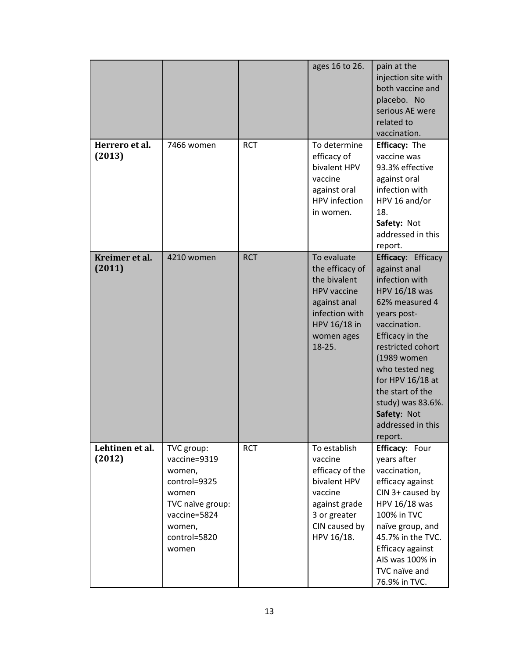|                           |                                                                                                                                      |            | ages 16 to 26.                                                                                                                                   | pain at the<br>injection site with<br>both vaccine and<br>placebo. No<br>serious AE were<br>related to<br>vaccination.                                                                                                                                                                                             |
|---------------------------|--------------------------------------------------------------------------------------------------------------------------------------|------------|--------------------------------------------------------------------------------------------------------------------------------------------------|--------------------------------------------------------------------------------------------------------------------------------------------------------------------------------------------------------------------------------------------------------------------------------------------------------------------|
| Herrero et al.<br>(2013)  | 7466 women                                                                                                                           | <b>RCT</b> | To determine<br>efficacy of<br>bivalent HPV<br>vaccine<br>against oral<br><b>HPV</b> infection<br>in women.                                      | <b>Efficacy: The</b><br>vaccine was<br>93.3% effective<br>against oral<br>infection with<br>HPV 16 and/or<br>18.<br>Safety: Not<br>addressed in this<br>report.                                                                                                                                                    |
| Kreimer et al.<br>(2011)  | 4210 women                                                                                                                           | <b>RCT</b> | To evaluate<br>the efficacy of<br>the bivalent<br><b>HPV</b> vaccine<br>against anal<br>infection with<br>HPV 16/18 in<br>women ages<br>$18-25.$ | <b>Efficacy: Efficacy</b><br>against anal<br>infection with<br>HPV 16/18 was<br>62% measured 4<br>years post-<br>vaccination.<br>Efficacy in the<br>restricted cohort<br>(1989 women<br>who tested neg<br>for HPV 16/18 at<br>the start of the<br>study) was 83.6%.<br>Safety: Not<br>addressed in this<br>report. |
| Lehtinen et al.<br>(2012) | TVC group:<br>vaccine=9319<br>women,<br>control=9325<br>women<br>TVC naïve group:<br>vaccine=5824<br>women,<br>control=5820<br>women | <b>RCT</b> | To establish<br>vaccine<br>efficacy of the<br>bivalent HPV<br>vaccine<br>against grade<br>3 or greater<br>CIN caused by<br>HPV 16/18.            | Efficacy: Four<br>years after<br>vaccination,<br>efficacy against<br>CIN 3+ caused by<br>HPV 16/18 was<br>100% in TVC<br>naïve group, and<br>45.7% in the TVC.<br>Efficacy against<br>AIS was 100% in<br>TVC naïve and<br>76.9% in TVC.                                                                            |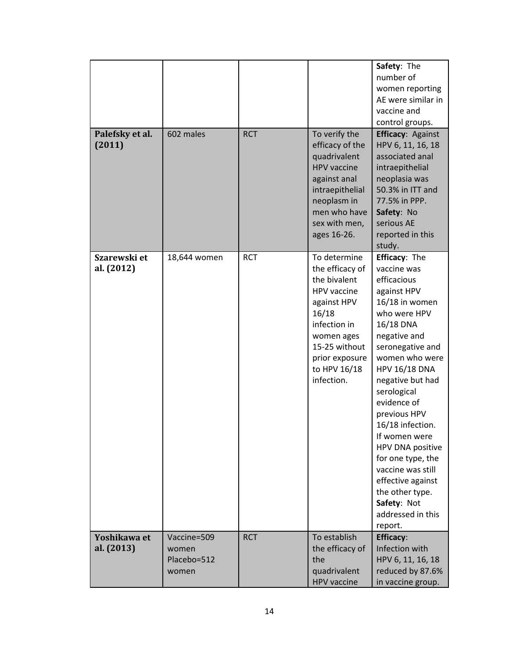| Palefsky et al.<br>(2011)  | 602 males                                    | <b>RCT</b> | To verify the<br>efficacy of the<br>quadrivalent<br><b>HPV</b> vaccine<br>against anal<br>intraepithelial<br>neoplasm in<br>men who have<br>sex with men,<br>ages 16-26.              | Safety: The<br>number of<br>women reporting<br>AE were similar in<br>vaccine and<br>control groups.<br><b>Efficacy: Against</b><br>HPV 6, 11, 16, 18<br>associated anal<br>intraepithelial<br>neoplasia was<br>50.3% in ITT and<br>77.5% in PPP.<br>Safety: No<br>serious AE<br>reported in this<br>study.                                                                                                                                          |
|----------------------------|----------------------------------------------|------------|---------------------------------------------------------------------------------------------------------------------------------------------------------------------------------------|-----------------------------------------------------------------------------------------------------------------------------------------------------------------------------------------------------------------------------------------------------------------------------------------------------------------------------------------------------------------------------------------------------------------------------------------------------|
| Szarewski et<br>al. (2012) | 18,644 women                                 | <b>RCT</b> | To determine<br>the efficacy of<br>the bivalent<br>HPV vaccine<br>against HPV<br>16/18<br>infection in<br>women ages<br>15-25 without<br>prior exposure<br>to HPV 16/18<br>infection. | Efficacy: The<br>vaccine was<br>efficacious<br>against HPV<br>16/18 in women<br>who were HPV<br>16/18 DNA<br>negative and<br>seronegative and<br>women who were<br><b>HPV 16/18 DNA</b><br>negative but had<br>serological<br>evidence of<br>previous HPV<br>16/18 infection.<br>If women were<br>HPV DNA positive<br>for one type, the<br>vaccine was still<br>effective against<br>the other type.<br>Safety: Not<br>addressed in this<br>report. |
| Yoshikawa et<br>al. (2013) | Vaccine=509<br>women<br>Placebo=512<br>women | <b>RCT</b> | To establish<br>the efficacy of<br>the<br>quadrivalent<br><b>HPV</b> vaccine                                                                                                          | <b>Efficacy:</b><br>Infection with<br>HPV 6, 11, 16, 18<br>reduced by 87.6%<br>in vaccine group.                                                                                                                                                                                                                                                                                                                                                    |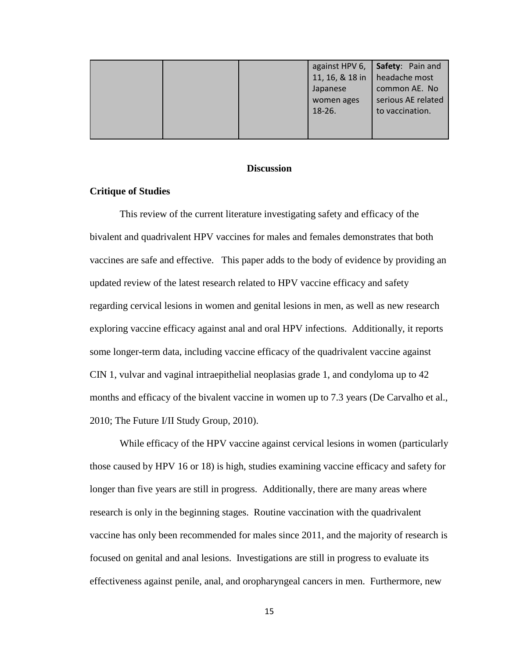|  |                 | against HPV 6, Safety: Pain and |
|--|-----------------|---------------------------------|
|  | 11, 16, & 18 in | headache most                   |
|  | Japanese        | common AE. No                   |
|  | women ages      | serious AE related              |
|  | $18-26.$        | to vaccination.                 |
|  |                 |                                 |
|  |                 |                                 |

# **Discussion**

# **Critique of Studies**

This review of the current literature investigating safety and efficacy of the bivalent and quadrivalent HPV vaccines for males and females demonstrates that both vaccines are safe and effective. This paper adds to the body of evidence by providing an updated review of the latest research related to HPV vaccine efficacy and safety regarding cervical lesions in women and genital lesions in men, as well as new research exploring vaccine efficacy against anal and oral HPV infections. Additionally, it reports some longer-term data, including vaccine efficacy of the quadrivalent vaccine against CIN 1, vulvar and vaginal intraepithelial neoplasias grade 1, and condyloma up to 42 months and efficacy of the bivalent vaccine in women up to 7.3 years (De Carvalho et al., 2010; The Future I/II Study Group, 2010).

While efficacy of the HPV vaccine against cervical lesions in women (particularly those caused by HPV 16 or 18) is high, studies examining vaccine efficacy and safety for longer than five years are still in progress. Additionally, there are many areas where research is only in the beginning stages. Routine vaccination with the quadrivalent vaccine has only been recommended for males since 2011, and the majority of research is focused on genital and anal lesions. Investigations are still in progress to evaluate its effectiveness against penile, anal, and oropharyngeal cancers in men. Furthermore, new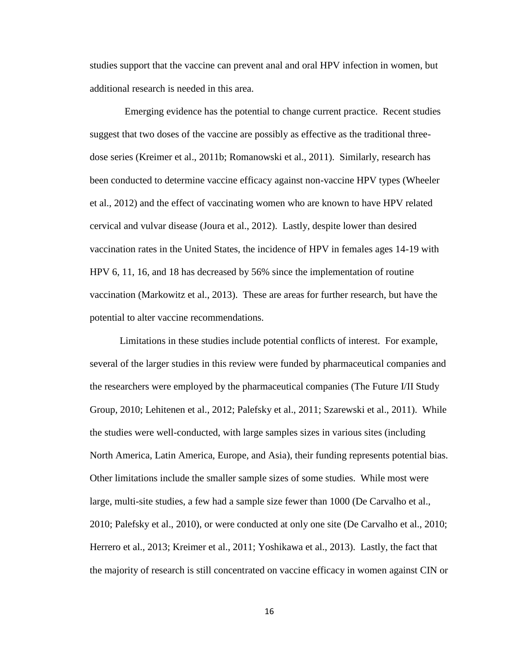studies support that the vaccine can prevent anal and oral HPV infection in women, but additional research is needed in this area.

 Emerging evidence has the potential to change current practice. Recent studies suggest that two doses of the vaccine are possibly as effective as the traditional threedose series (Kreimer et al., 2011b; Romanowski et al., 2011). Similarly, research has been conducted to determine vaccine efficacy against non-vaccine HPV types (Wheeler et al., 2012) and the effect of vaccinating women who are known to have HPV related cervical and vulvar disease (Joura et al., 2012). Lastly, despite lower than desired vaccination rates in the United States, the incidence of HPV in females ages 14-19 with HPV 6, 11, 16, and 18 has decreased by 56% since the implementation of routine vaccination (Markowitz et al., 2013). These are areas for further research, but have the potential to alter vaccine recommendations.

Limitations in these studies include potential conflicts of interest. For example, several of the larger studies in this review were funded by pharmaceutical companies and the researchers were employed by the pharmaceutical companies (The Future I/II Study Group, 2010; Lehitenen et al., 2012; Palefsky et al., 2011; Szarewski et al., 2011). While the studies were well-conducted, with large samples sizes in various sites (including North America, Latin America, Europe, and Asia), their funding represents potential bias. Other limitations include the smaller sample sizes of some studies. While most were large, multi-site studies, a few had a sample size fewer than 1000 (De Carvalho et al., 2010; Palefsky et al., 2010), or were conducted at only one site (De Carvalho et al., 2010; Herrero et al., 2013; Kreimer et al., 2011; Yoshikawa et al., 2013). Lastly, the fact that the majority of research is still concentrated on vaccine efficacy in women against CIN or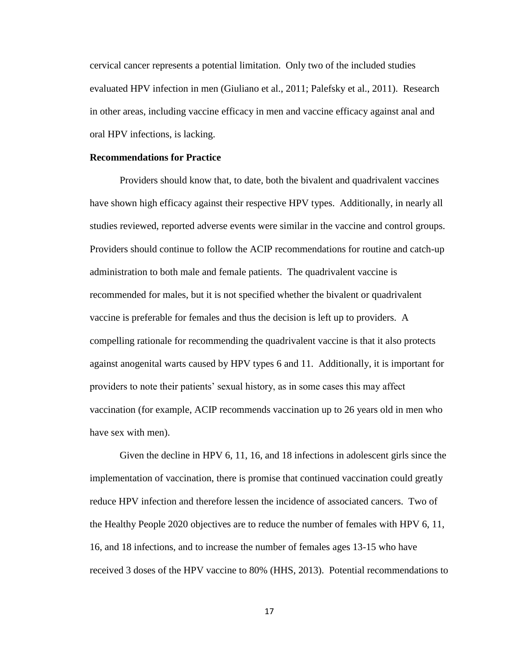cervical cancer represents a potential limitation. Only two of the included studies evaluated HPV infection in men (Giuliano et al., 2011; Palefsky et al., 2011). Research in other areas, including vaccine efficacy in men and vaccine efficacy against anal and oral HPV infections, is lacking.

# **Recommendations for Practice**

Providers should know that, to date, both the bivalent and quadrivalent vaccines have shown high efficacy against their respective HPV types. Additionally, in nearly all studies reviewed, reported adverse events were similar in the vaccine and control groups. Providers should continue to follow the ACIP recommendations for routine and catch-up administration to both male and female patients. The quadrivalent vaccine is recommended for males, but it is not specified whether the bivalent or quadrivalent vaccine is preferable for females and thus the decision is left up to providers. A compelling rationale for recommending the quadrivalent vaccine is that it also protects against anogenital warts caused by HPV types 6 and 11. Additionally, it is important for providers to note their patients' sexual history, as in some cases this may affect vaccination (for example, ACIP recommends vaccination up to 26 years old in men who have sex with men).

Given the decline in HPV 6, 11, 16, and 18 infections in adolescent girls since the implementation of vaccination, there is promise that continued vaccination could greatly reduce HPV infection and therefore lessen the incidence of associated cancers. Two of the Healthy People 2020 objectives are to reduce the number of females with HPV 6, 11, 16, and 18 infections, and to increase the number of females ages 13-15 who have received 3 doses of the HPV vaccine to 80% (HHS, 2013). Potential recommendations to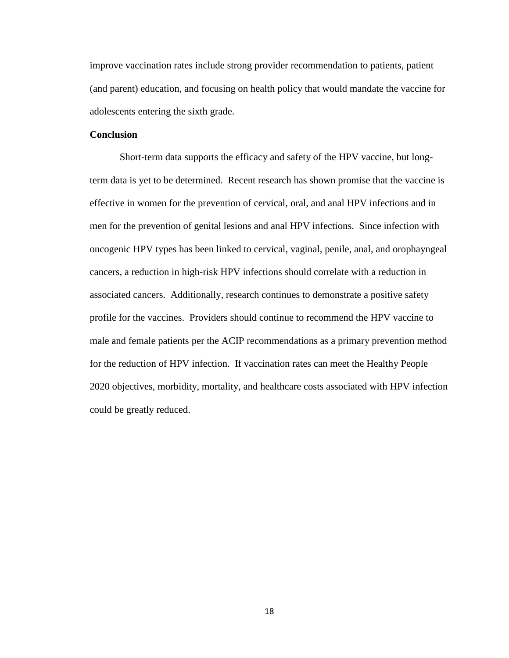improve vaccination rates include strong provider recommendation to patients, patient (and parent) education, and focusing on health policy that would mandate the vaccine for adolescents entering the sixth grade.

# **Conclusion**

Short-term data supports the efficacy and safety of the HPV vaccine, but longterm data is yet to be determined. Recent research has shown promise that the vaccine is effective in women for the prevention of cervical, oral, and anal HPV infections and in men for the prevention of genital lesions and anal HPV infections. Since infection with oncogenic HPV types has been linked to cervical, vaginal, penile, anal, and orophayngeal cancers, a reduction in high-risk HPV infections should correlate with a reduction in associated cancers. Additionally, research continues to demonstrate a positive safety profile for the vaccines. Providers should continue to recommend the HPV vaccine to male and female patients per the ACIP recommendations as a primary prevention method for the reduction of HPV infection. If vaccination rates can meet the Healthy People 2020 objectives, morbidity, mortality, and healthcare costs associated with HPV infection could be greatly reduced.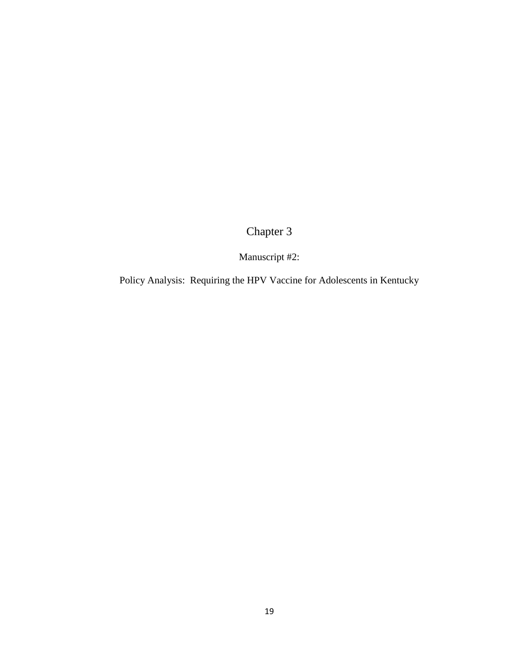Chapter 3

Manuscript #2:

Policy Analysis: Requiring the HPV Vaccine for Adolescents in Kentucky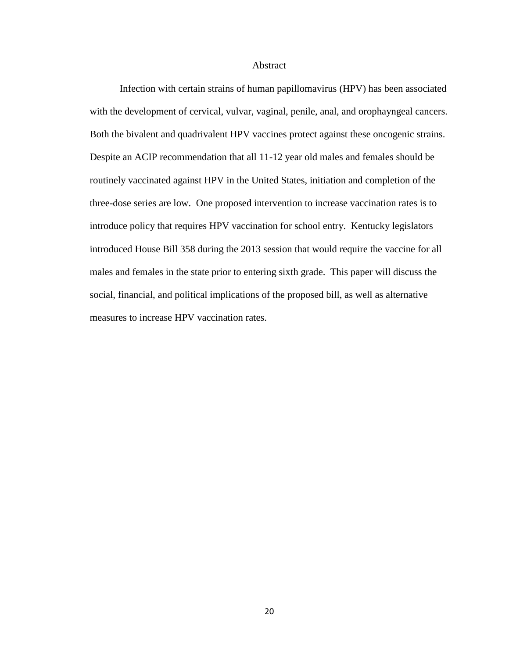# Abstract

Infection with certain strains of human papillomavirus (HPV) has been associated with the development of cervical, vulvar, vaginal, penile, anal, and orophayngeal cancers. Both the bivalent and quadrivalent HPV vaccines protect against these oncogenic strains. Despite an ACIP recommendation that all 11-12 year old males and females should be routinely vaccinated against HPV in the United States, initiation and completion of the three-dose series are low. One proposed intervention to increase vaccination rates is to introduce policy that requires HPV vaccination for school entry. Kentucky legislators introduced House Bill 358 during the 2013 session that would require the vaccine for all males and females in the state prior to entering sixth grade. This paper will discuss the social, financial, and political implications of the proposed bill, as well as alternative measures to increase HPV vaccination rates.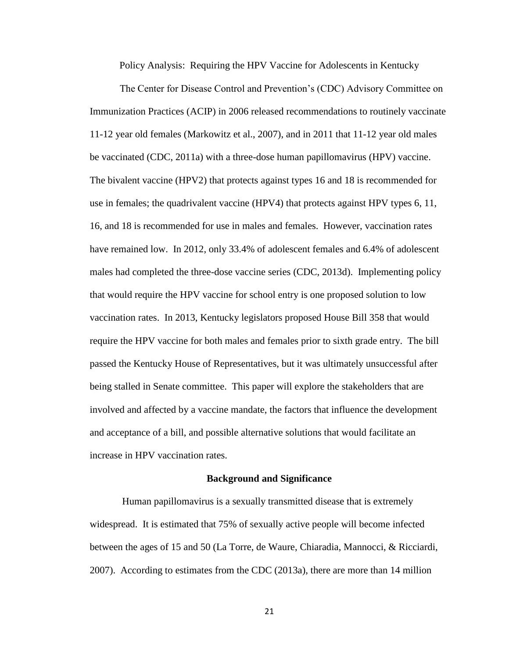Policy Analysis: Requiring the HPV Vaccine for Adolescents in Kentucky

The Center for Disease Control and Prevention's (CDC) Advisory Committee on Immunization Practices (ACIP) in 2006 released recommendations to routinely vaccinate 11-12 year old females (Markowitz et al., 2007), and in 2011 that 11-12 year old males be vaccinated (CDC, 2011a) with a three-dose human papillomavirus (HPV) vaccine. The bivalent vaccine (HPV2) that protects against types 16 and 18 is recommended for use in females; the quadrivalent vaccine (HPV4) that protects against HPV types 6, 11, 16, and 18 is recommended for use in males and females. However, vaccination rates have remained low. In 2012, only 33.4% of adolescent females and 6.4% of adolescent males had completed the three-dose vaccine series (CDC, 2013d). Implementing policy that would require the HPV vaccine for school entry is one proposed solution to low vaccination rates. In 2013, Kentucky legislators proposed House Bill 358 that would require the HPV vaccine for both males and females prior to sixth grade entry. The bill passed the Kentucky House of Representatives, but it was ultimately unsuccessful after being stalled in Senate committee. This paper will explore the stakeholders that are involved and affected by a vaccine mandate, the factors that influence the development and acceptance of a bill, and possible alternative solutions that would facilitate an increase in HPV vaccination rates.

#### **Background and Significance**

Human papillomavirus is a sexually transmitted disease that is extremely widespread. It is estimated that 75% of sexually active people will become infected between the ages of 15 and 50 (La Torre, de Waure, Chiaradia, Mannocci, & Ricciardi, 2007). According to estimates from the CDC (2013a), there are more than 14 million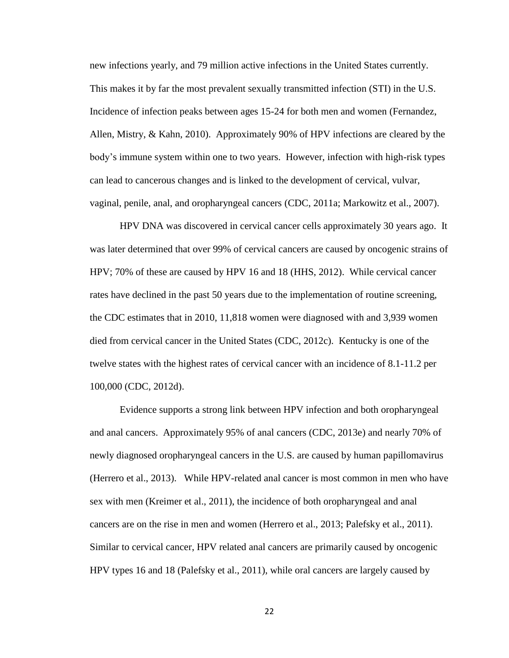new infections yearly, and 79 million active infections in the United States currently. This makes it by far the most prevalent sexually transmitted infection (STI) in the U.S. Incidence of infection peaks between ages 15-24 for both men and women (Fernandez, Allen, Mistry, & Kahn, 2010). Approximately 90% of HPV infections are cleared by the body's immune system within one to two years. However, infection with high-risk types can lead to cancerous changes and is linked to the development of cervical, vulvar, vaginal, penile, anal, and oropharyngeal cancers (CDC, 2011a; Markowitz et al., 2007).

HPV DNA was discovered in cervical cancer cells approximately 30 years ago. It was later determined that over 99% of cervical cancers are caused by oncogenic strains of HPV; 70% of these are caused by HPV 16 and 18 (HHS, 2012). While cervical cancer rates have declined in the past 50 years due to the implementation of routine screening, the CDC estimates that in 2010, 11,818 women were diagnosed with and 3,939 women died from cervical cancer in the United States (CDC, 2012c). Kentucky is one of the twelve states with the highest rates of cervical cancer with an incidence of 8.1-11.2 per 100,000 (CDC, 2012d).

Evidence supports a strong link between HPV infection and both oropharyngeal and anal cancers. Approximately 95% of anal cancers (CDC, 2013e) and nearly 70% of newly diagnosed oropharyngeal cancers in the U.S. are caused by human papillomavirus (Herrero et al., 2013). While HPV-related anal cancer is most common in men who have sex with men (Kreimer et al., 2011), the incidence of both oropharyngeal and anal cancers are on the rise in men and women (Herrero et al., 2013; Palefsky et al., 2011). Similar to cervical cancer, HPV related anal cancers are primarily caused by oncogenic HPV types 16 and 18 (Palefsky et al., 2011), while oral cancers are largely caused by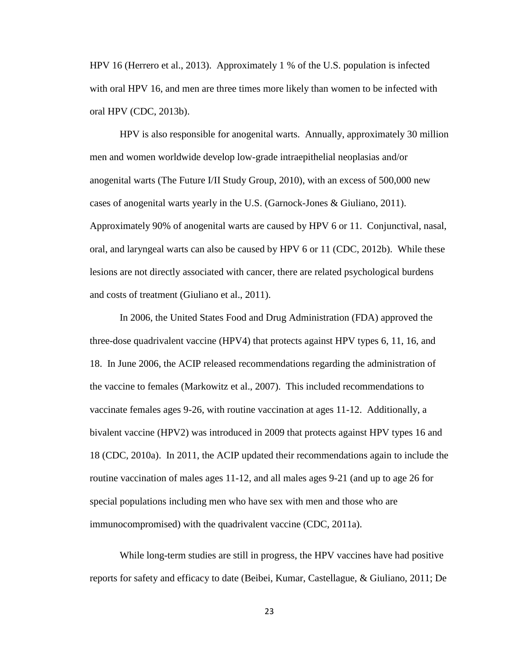HPV 16 (Herrero et al., 2013). Approximately 1 % of the U.S. population is infected with oral HPV 16, and men are three times more likely than women to be infected with oral HPV (CDC, 2013b).

HPV is also responsible for anogenital warts. Annually, approximately 30 million men and women worldwide develop low-grade intraepithelial neoplasias and/or anogenital warts (The Future I/II Study Group, 2010), with an excess of 500,000 new cases of anogenital warts yearly in the U.S. (Garnock-Jones & Giuliano, 2011). Approximately 90% of anogenital warts are caused by HPV 6 or 11. Conjunctival, nasal, oral, and laryngeal warts can also be caused by HPV 6 or 11 (CDC, 2012b). While these lesions are not directly associated with cancer, there are related psychological burdens and costs of treatment (Giuliano et al., 2011).

In 2006, the United States Food and Drug Administration (FDA) approved the three-dose quadrivalent vaccine (HPV4) that protects against HPV types 6, 11, 16, and 18. In June 2006, the ACIP released recommendations regarding the administration of the vaccine to females (Markowitz et al., 2007). This included recommendations to vaccinate females ages 9-26, with routine vaccination at ages 11-12. Additionally, a bivalent vaccine (HPV2) was introduced in 2009 that protects against HPV types 16 and 18 (CDC, 2010a). In 2011, the ACIP updated their recommendations again to include the routine vaccination of males ages 11-12, and all males ages 9-21 (and up to age 26 for special populations including men who have sex with men and those who are immunocompromised) with the quadrivalent vaccine (CDC, 2011a).

While long-term studies are still in progress, the HPV vaccines have had positive reports for safety and efficacy to date (Beibei, Kumar, Castellague, & Giuliano, 2011; De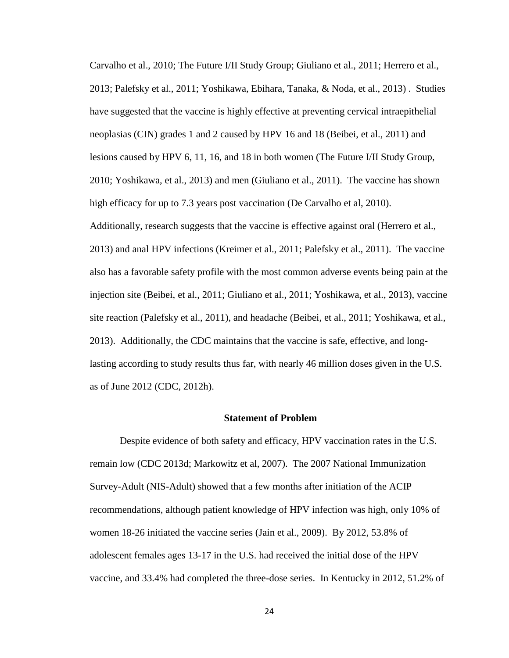Carvalho et al., 2010; The Future I/II Study Group; Giuliano et al., 2011; Herrero et al., 2013; Palefsky et al., 2011; Yoshikawa, Ebihara, Tanaka, & Noda, et al., 2013) . Studies have suggested that the vaccine is highly effective at preventing cervical intraepithelial neoplasias (CIN) grades 1 and 2 caused by HPV 16 and 18 (Beibei, et al., 2011) and lesions caused by HPV 6, 11, 16, and 18 in both women (The Future I/II Study Group, 2010; Yoshikawa, et al., 2013) and men (Giuliano et al., 2011). The vaccine has shown high efficacy for up to 7.3 years post vaccination (De Carvalho et al, 2010). Additionally, research suggests that the vaccine is effective against oral (Herrero et al., 2013) and anal HPV infections (Kreimer et al., 2011; Palefsky et al., 2011). The vaccine also has a favorable safety profile with the most common adverse events being pain at the injection site (Beibei, et al., 2011; Giuliano et al., 2011; Yoshikawa, et al., 2013), vaccine site reaction (Palefsky et al., 2011), and headache (Beibei, et al., 2011; Yoshikawa, et al., 2013). Additionally, the CDC maintains that the vaccine is safe, effective, and longlasting according to study results thus far, with nearly 46 million doses given in the U.S. as of June 2012 (CDC, 2012h).

### **Statement of Problem**

Despite evidence of both safety and efficacy, HPV vaccination rates in the U.S. remain low (CDC 2013d; Markowitz et al, 2007). The 2007 National Immunization Survey-Adult (NIS-Adult) showed that a few months after initiation of the ACIP recommendations, although patient knowledge of HPV infection was high, only 10% of women 18-26 initiated the vaccine series (Jain et al., 2009). By 2012, 53.8% of adolescent females ages 13-17 in the U.S. had received the initial dose of the HPV vaccine, and 33.4% had completed the three-dose series. In Kentucky in 2012, 51.2% of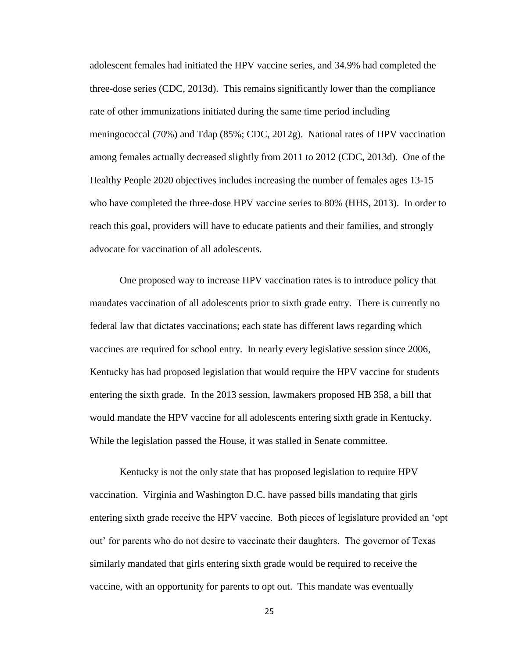adolescent females had initiated the HPV vaccine series, and 34.9% had completed the three-dose series (CDC, 2013d). This remains significantly lower than the compliance rate of other immunizations initiated during the same time period including meningococcal (70%) and Tdap (85%; CDC, 2012g). National rates of HPV vaccination among females actually decreased slightly from 2011 to 2012 (CDC, 2013d). One of the Healthy People 2020 objectives includes increasing the number of females ages 13-15 who have completed the three-dose HPV vaccine series to 80% (HHS, 2013). In order to reach this goal, providers will have to educate patients and their families, and strongly advocate for vaccination of all adolescents.

One proposed way to increase HPV vaccination rates is to introduce policy that mandates vaccination of all adolescents prior to sixth grade entry. There is currently no federal law that dictates vaccinations; each state has different laws regarding which vaccines are required for school entry. In nearly every legislative session since 2006, Kentucky has had proposed legislation that would require the HPV vaccine for students entering the sixth grade. In the 2013 session, lawmakers proposed HB 358, a bill that would mandate the HPV vaccine for all adolescents entering sixth grade in Kentucky. While the legislation passed the House, it was stalled in Senate committee.

Kentucky is not the only state that has proposed legislation to require HPV vaccination. Virginia and Washington D.C. have passed bills mandating that girls entering sixth grade receive the HPV vaccine. Both pieces of legislature provided an 'opt out' for parents who do not desire to vaccinate their daughters. The governor of Texas similarly mandated that girls entering sixth grade would be required to receive the vaccine, with an opportunity for parents to opt out. This mandate was eventually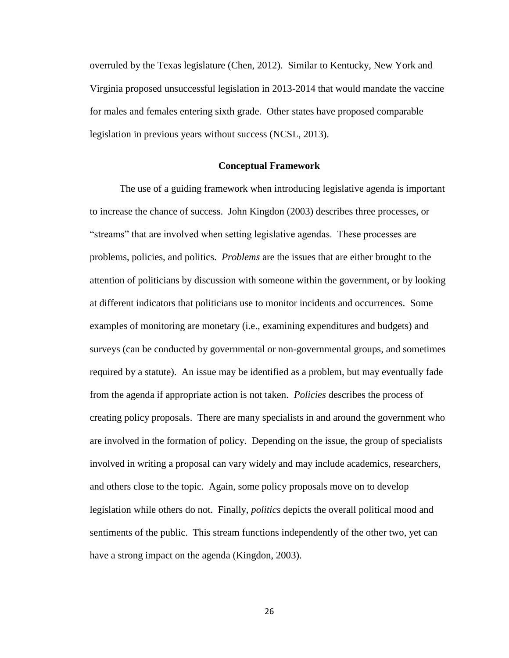overruled by the Texas legislature (Chen, 2012). Similar to Kentucky, New York and Virginia proposed unsuccessful legislation in 2013-2014 that would mandate the vaccine for males and females entering sixth grade. Other states have proposed comparable legislation in previous years without success (NCSL, 2013).

# **Conceptual Framework**

The use of a guiding framework when introducing legislative agenda is important to increase the chance of success. John Kingdon (2003) describes three processes, or "streams" that are involved when setting legislative agendas. These processes are problems, policies, and politics. *Problems* are the issues that are either brought to the attention of politicians by discussion with someone within the government, or by looking at different indicators that politicians use to monitor incidents and occurrences. Some examples of monitoring are monetary (i.e., examining expenditures and budgets) and surveys (can be conducted by governmental or non-governmental groups, and sometimes required by a statute). An issue may be identified as a problem, but may eventually fade from the agenda if appropriate action is not taken. *Policies* describes the process of creating policy proposals. There are many specialists in and around the government who are involved in the formation of policy. Depending on the issue, the group of specialists involved in writing a proposal can vary widely and may include academics, researchers, and others close to the topic. Again, some policy proposals move on to develop legislation while others do not. Finally, *politics* depicts the overall political mood and sentiments of the public. This stream functions independently of the other two, yet can have a strong impact on the agenda (Kingdon, 2003).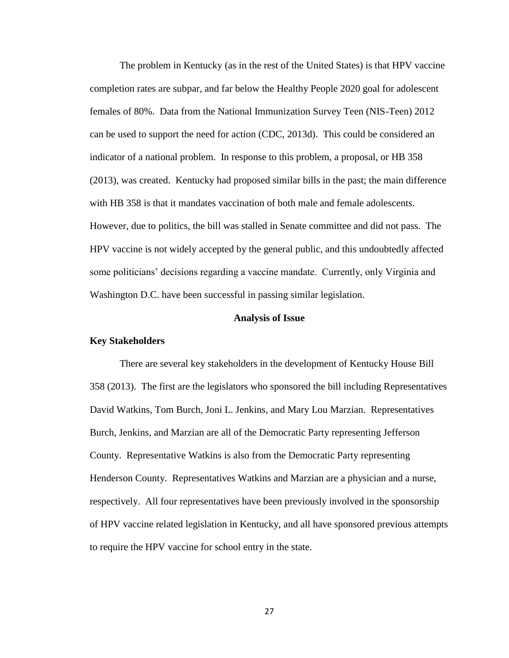The problem in Kentucky (as in the rest of the United States) is that HPV vaccine completion rates are subpar, and far below the Healthy People 2020 goal for adolescent females of 80%. Data from the National Immunization Survey Teen (NIS-Teen) 2012 can be used to support the need for action (CDC, 2013d). This could be considered an indicator of a national problem. In response to this problem, a proposal, or HB 358 (2013), was created. Kentucky had proposed similar bills in the past; the main difference with HB 358 is that it mandates vaccination of both male and female adolescents. However, due to politics, the bill was stalled in Senate committee and did not pass. The HPV vaccine is not widely accepted by the general public, and this undoubtedly affected some politicians' decisions regarding a vaccine mandate. Currently, only Virginia and Washington D.C. have been successful in passing similar legislation.

#### **Analysis of Issue**

# **Key Stakeholders**

There are several key stakeholders in the development of Kentucky House Bill 358 (2013). The first are the legislators who sponsored the bill including Representatives David Watkins, Tom Burch, Joni L. Jenkins, and Mary Lou Marzian. Representatives Burch, Jenkins, and Marzian are all of the Democratic Party representing Jefferson County. Representative Watkins is also from the Democratic Party representing Henderson County. Representatives Watkins and Marzian are a physician and a nurse, respectively. All four representatives have been previously involved in the sponsorship of HPV vaccine related legislation in Kentucky, and all have sponsored previous attempts to require the HPV vaccine for school entry in the state.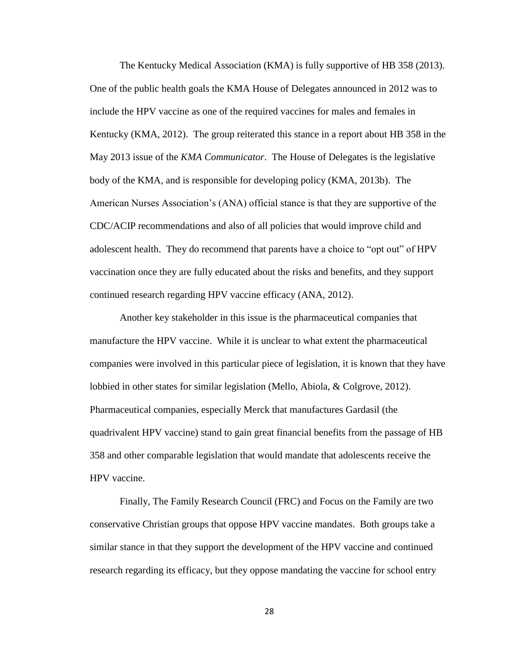The Kentucky Medical Association (KMA) is fully supportive of HB 358 (2013). One of the public health goals the KMA House of Delegates announced in 2012 was to include the HPV vaccine as one of the required vaccines for males and females in Kentucky (KMA, 2012). The group reiterated this stance in a report about HB 358 in the May 2013 issue of the *KMA Communicator*. The House of Delegates is the legislative body of the KMA, and is responsible for developing policy (KMA, 2013b). The American Nurses Association's (ANA) official stance is that they are supportive of the CDC/ACIP recommendations and also of all policies that would improve child and adolescent health. They do recommend that parents have a choice to "opt out" of HPV vaccination once they are fully educated about the risks and benefits, and they support continued research regarding HPV vaccine efficacy (ANA, 2012).

Another key stakeholder in this issue is the pharmaceutical companies that manufacture the HPV vaccine. While it is unclear to what extent the pharmaceutical companies were involved in this particular piece of legislation, it is known that they have lobbied in other states for similar legislation (Mello, Abiola, & Colgrove, 2012). Pharmaceutical companies, especially Merck that manufactures Gardasil (the quadrivalent HPV vaccine) stand to gain great financial benefits from the passage of HB 358 and other comparable legislation that would mandate that adolescents receive the HPV vaccine.

Finally, The Family Research Council (FRC) and Focus on the Family are two conservative Christian groups that oppose HPV vaccine mandates. Both groups take a similar stance in that they support the development of the HPV vaccine and continued research regarding its efficacy, but they oppose mandating the vaccine for school entry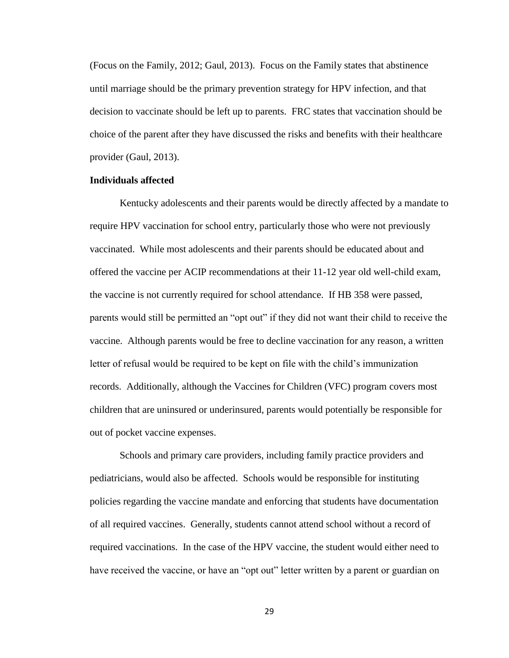(Focus on the Family, 2012; Gaul, 2013). Focus on the Family states that abstinence until marriage should be the primary prevention strategy for HPV infection, and that decision to vaccinate should be left up to parents. FRC states that vaccination should be choice of the parent after they have discussed the risks and benefits with their healthcare provider (Gaul, 2013).

### **Individuals affected**

Kentucky adolescents and their parents would be directly affected by a mandate to require HPV vaccination for school entry, particularly those who were not previously vaccinated. While most adolescents and their parents should be educated about and offered the vaccine per ACIP recommendations at their 11-12 year old well-child exam, the vaccine is not currently required for school attendance. If HB 358 were passed, parents would still be permitted an "opt out" if they did not want their child to receive the vaccine. Although parents would be free to decline vaccination for any reason, a written letter of refusal would be required to be kept on file with the child's immunization records. Additionally, although the Vaccines for Children (VFC) program covers most children that are uninsured or underinsured, parents would potentially be responsible for out of pocket vaccine expenses.

Schools and primary care providers, including family practice providers and pediatricians, would also be affected. Schools would be responsible for instituting policies regarding the vaccine mandate and enforcing that students have documentation of all required vaccines. Generally, students cannot attend school without a record of required vaccinations. In the case of the HPV vaccine, the student would either need to have received the vaccine, or have an "opt out" letter written by a parent or guardian on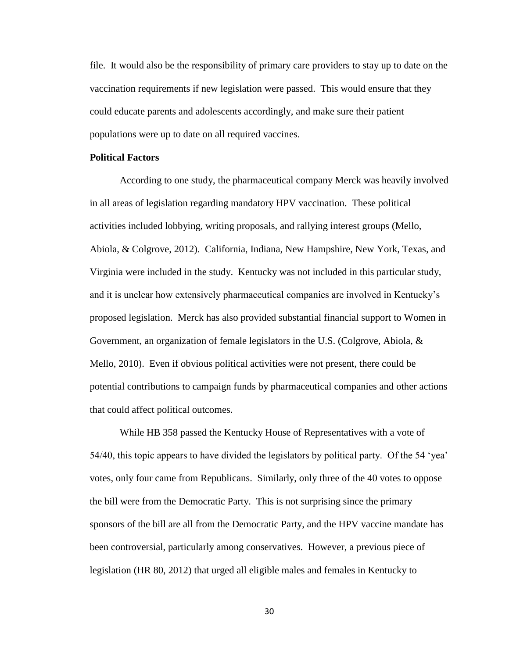file. It would also be the responsibility of primary care providers to stay up to date on the vaccination requirements if new legislation were passed. This would ensure that they could educate parents and adolescents accordingly, and make sure their patient populations were up to date on all required vaccines.

### **Political Factors**

According to one study, the pharmaceutical company Merck was heavily involved in all areas of legislation regarding mandatory HPV vaccination. These political activities included lobbying, writing proposals, and rallying interest groups (Mello, Abiola, & Colgrove, 2012). California, Indiana, New Hampshire, New York, Texas, and Virginia were included in the study. Kentucky was not included in this particular study, and it is unclear how extensively pharmaceutical companies are involved in Kentucky's proposed legislation. Merck has also provided substantial financial support to Women in Government, an organization of female legislators in the U.S. (Colgrove, Abiola, & Mello, 2010). Even if obvious political activities were not present, there could be potential contributions to campaign funds by pharmaceutical companies and other actions that could affect political outcomes.

While HB 358 passed the Kentucky House of Representatives with a vote of 54/40, this topic appears to have divided the legislators by political party. Of the 54 'yea' votes, only four came from Republicans. Similarly, only three of the 40 votes to oppose the bill were from the Democratic Party. This is not surprising since the primary sponsors of the bill are all from the Democratic Party, and the HPV vaccine mandate has been controversial, particularly among conservatives. However, a previous piece of legislation (HR 80, 2012) that urged all eligible males and females in Kentucky to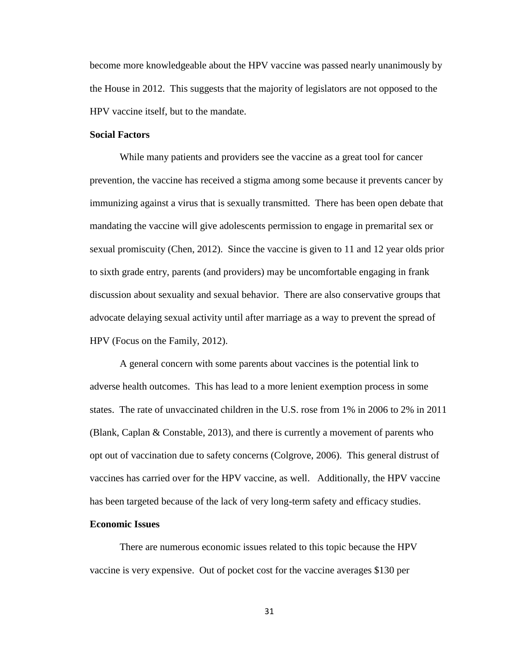become more knowledgeable about the HPV vaccine was passed nearly unanimously by the House in 2012. This suggests that the majority of legislators are not opposed to the HPV vaccine itself, but to the mandate.

### **Social Factors**

While many patients and providers see the vaccine as a great tool for cancer prevention, the vaccine has received a stigma among some because it prevents cancer by immunizing against a virus that is sexually transmitted. There has been open debate that mandating the vaccine will give adolescents permission to engage in premarital sex or sexual promiscuity (Chen, 2012). Since the vaccine is given to 11 and 12 year olds prior to sixth grade entry, parents (and providers) may be uncomfortable engaging in frank discussion about sexuality and sexual behavior. There are also conservative groups that advocate delaying sexual activity until after marriage as a way to prevent the spread of HPV (Focus on the Family, 2012).

A general concern with some parents about vaccines is the potential link to adverse health outcomes. This has lead to a more lenient exemption process in some states. The rate of unvaccinated children in the U.S. rose from 1% in 2006 to 2% in 2011 (Blank, Caplan  $&$  Constable, 2013), and there is currently a movement of parents who opt out of vaccination due to safety concerns (Colgrove, 2006). This general distrust of vaccines has carried over for the HPV vaccine, as well. Additionally, the HPV vaccine has been targeted because of the lack of very long-term safety and efficacy studies.

#### **Economic Issues**

There are numerous economic issues related to this topic because the HPV vaccine is very expensive. Out of pocket cost for the vaccine averages \$130 per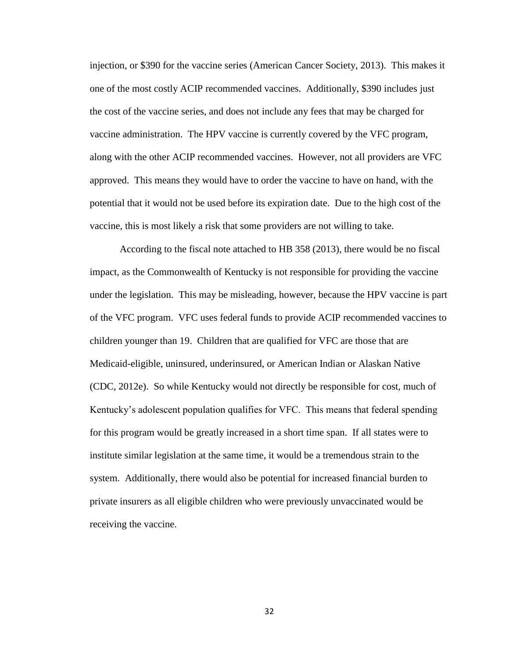injection, or \$390 for the vaccine series (American Cancer Society, 2013). This makes it one of the most costly ACIP recommended vaccines. Additionally, \$390 includes just the cost of the vaccine series, and does not include any fees that may be charged for vaccine administration. The HPV vaccine is currently covered by the VFC program, along with the other ACIP recommended vaccines. However, not all providers are VFC approved. This means they would have to order the vaccine to have on hand, with the potential that it would not be used before its expiration date. Due to the high cost of the vaccine, this is most likely a risk that some providers are not willing to take.

According to the fiscal note attached to HB 358 (2013), there would be no fiscal impact, as the Commonwealth of Kentucky is not responsible for providing the vaccine under the legislation. This may be misleading, however, because the HPV vaccine is part of the VFC program. VFC uses federal funds to provide ACIP recommended vaccines to children younger than 19. Children that are qualified for VFC are those that are Medicaid-eligible, uninsured, underinsured, or American Indian or Alaskan Native (CDC, 2012e). So while Kentucky would not directly be responsible for cost, much of Kentucky's adolescent population qualifies for VFC. This means that federal spending for this program would be greatly increased in a short time span. If all states were to institute similar legislation at the same time, it would be a tremendous strain to the system. Additionally, there would also be potential for increased financial burden to private insurers as all eligible children who were previously unvaccinated would be receiving the vaccine.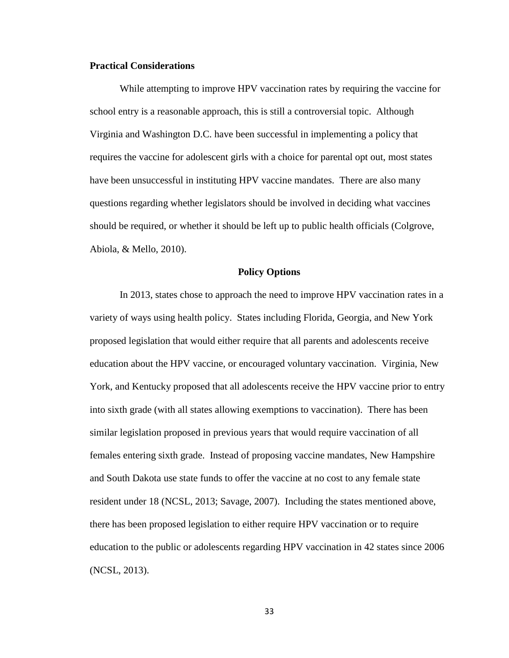### **Practical Considerations**

While attempting to improve HPV vaccination rates by requiring the vaccine for school entry is a reasonable approach, this is still a controversial topic. Although Virginia and Washington D.C. have been successful in implementing a policy that requires the vaccine for adolescent girls with a choice for parental opt out, most states have been unsuccessful in instituting HPV vaccine mandates. There are also many questions regarding whether legislators should be involved in deciding what vaccines should be required, or whether it should be left up to public health officials (Colgrove, Abiola, & Mello, 2010).

### **Policy Options**

In 2013, states chose to approach the need to improve HPV vaccination rates in a variety of ways using health policy. States including Florida, Georgia, and New York proposed legislation that would either require that all parents and adolescents receive education about the HPV vaccine, or encouraged voluntary vaccination. Virginia, New York, and Kentucky proposed that all adolescents receive the HPV vaccine prior to entry into sixth grade (with all states allowing exemptions to vaccination). There has been similar legislation proposed in previous years that would require vaccination of all females entering sixth grade. Instead of proposing vaccine mandates, New Hampshire and South Dakota use state funds to offer the vaccine at no cost to any female state resident under 18 (NCSL, 2013; Savage, 2007). Including the states mentioned above, there has been proposed legislation to either require HPV vaccination or to require education to the public or adolescents regarding HPV vaccination in 42 states since 2006 (NCSL, 2013).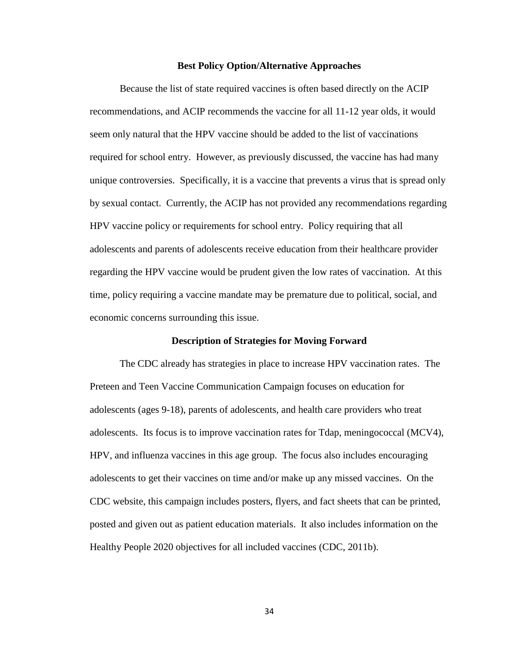### **Best Policy Option/Alternative Approaches**

Because the list of state required vaccines is often based directly on the ACIP recommendations, and ACIP recommends the vaccine for all 11-12 year olds, it would seem only natural that the HPV vaccine should be added to the list of vaccinations required for school entry. However, as previously discussed, the vaccine has had many unique controversies. Specifically, it is a vaccine that prevents a virus that is spread only by sexual contact. Currently, the ACIP has not provided any recommendations regarding HPV vaccine policy or requirements for school entry. Policy requiring that all adolescents and parents of adolescents receive education from their healthcare provider regarding the HPV vaccine would be prudent given the low rates of vaccination. At this time, policy requiring a vaccine mandate may be premature due to political, social, and economic concerns surrounding this issue.

### **Description of Strategies for Moving Forward**

The CDC already has strategies in place to increase HPV vaccination rates. The Preteen and Teen Vaccine Communication Campaign focuses on education for adolescents (ages 9-18), parents of adolescents, and health care providers who treat adolescents. Its focus is to improve vaccination rates for Tdap, meningococcal (MCV4), HPV, and influenza vaccines in this age group. The focus also includes encouraging adolescents to get their vaccines on time and/or make up any missed vaccines. On the CDC website, this campaign includes posters, flyers, and fact sheets that can be printed, posted and given out as patient education materials. It also includes information on the Healthy People 2020 objectives for all included vaccines (CDC, 2011b).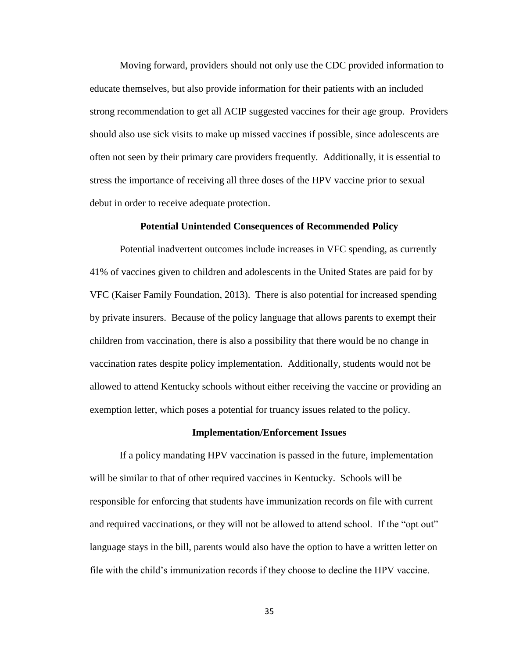Moving forward, providers should not only use the CDC provided information to educate themselves, but also provide information for their patients with an included strong recommendation to get all ACIP suggested vaccines for their age group. Providers should also use sick visits to make up missed vaccines if possible, since adolescents are often not seen by their primary care providers frequently. Additionally, it is essential to stress the importance of receiving all three doses of the HPV vaccine prior to sexual debut in order to receive adequate protection.

#### **Potential Unintended Consequences of Recommended Policy**

Potential inadvertent outcomes include increases in VFC spending, as currently 41% of vaccines given to children and adolescents in the United States are paid for by VFC (Kaiser Family Foundation, 2013). There is also potential for increased spending by private insurers. Because of the policy language that allows parents to exempt their children from vaccination, there is also a possibility that there would be no change in vaccination rates despite policy implementation. Additionally, students would not be allowed to attend Kentucky schools without either receiving the vaccine or providing an exemption letter, which poses a potential for truancy issues related to the policy.

#### **Implementation/Enforcement Issues**

If a policy mandating HPV vaccination is passed in the future, implementation will be similar to that of other required vaccines in Kentucky. Schools will be responsible for enforcing that students have immunization records on file with current and required vaccinations, or they will not be allowed to attend school. If the "opt out" language stays in the bill, parents would also have the option to have a written letter on file with the child's immunization records if they choose to decline the HPV vaccine.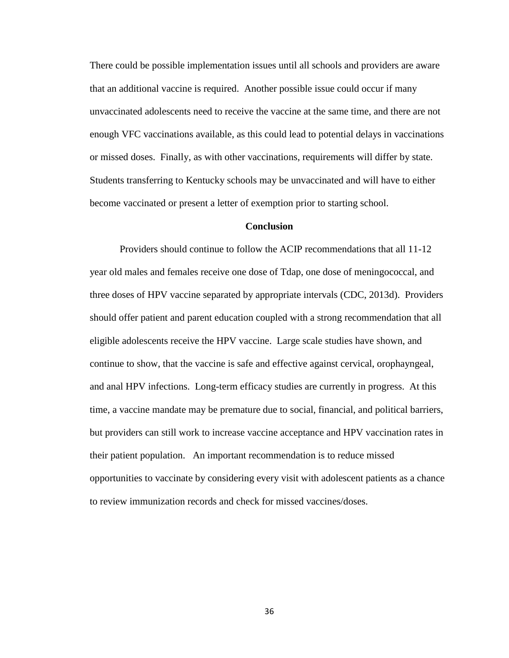There could be possible implementation issues until all schools and providers are aware that an additional vaccine is required. Another possible issue could occur if many unvaccinated adolescents need to receive the vaccine at the same time, and there are not enough VFC vaccinations available, as this could lead to potential delays in vaccinations or missed doses. Finally, as with other vaccinations, requirements will differ by state. Students transferring to Kentucky schools may be unvaccinated and will have to either become vaccinated or present a letter of exemption prior to starting school.

### **Conclusion**

Providers should continue to follow the ACIP recommendations that all 11-12 year old males and females receive one dose of Tdap, one dose of meningococcal, and three doses of HPV vaccine separated by appropriate intervals (CDC, 2013d). Providers should offer patient and parent education coupled with a strong recommendation that all eligible adolescents receive the HPV vaccine. Large scale studies have shown, and continue to show, that the vaccine is safe and effective against cervical, orophayngeal, and anal HPV infections. Long-term efficacy studies are currently in progress. At this time, a vaccine mandate may be premature due to social, financial, and political barriers, but providers can still work to increase vaccine acceptance and HPV vaccination rates in their patient population. An important recommendation is to reduce missed opportunities to vaccinate by considering every visit with adolescent patients as a chance to review immunization records and check for missed vaccines/doses.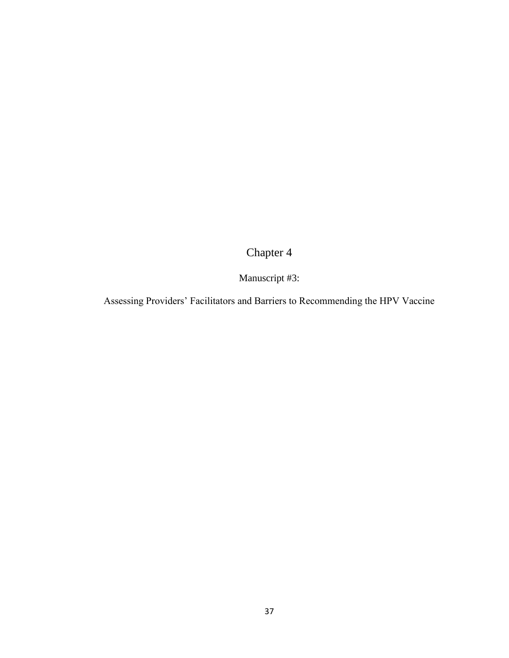# Chapter 4

## Manuscript #3:

Assessing Providers' Facilitators and Barriers to Recommending the HPV Vaccine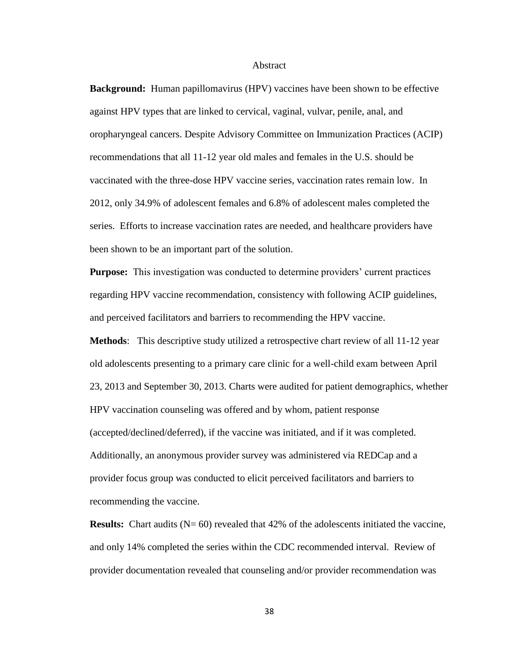#### Abstract

**Background:** Human papillomavirus (HPV) vaccines have been shown to be effective against HPV types that are linked to cervical, vaginal, vulvar, penile, anal, and oropharyngeal cancers. Despite Advisory Committee on Immunization Practices (ACIP) recommendations that all 11-12 year old males and females in the U.S. should be vaccinated with the three-dose HPV vaccine series, vaccination rates remain low. In 2012, only 34.9% of adolescent females and 6.8% of adolescent males completed the series. Efforts to increase vaccination rates are needed, and healthcare providers have been shown to be an important part of the solution.

**Purpose:** This investigation was conducted to determine providers' current practices regarding HPV vaccine recommendation, consistency with following ACIP guidelines, and perceived facilitators and barriers to recommending the HPV vaccine.

**Methods**: This descriptive study utilized a retrospective chart review of all 11-12 year old adolescents presenting to a primary care clinic for a well-child exam between April 23, 2013 and September 30, 2013. Charts were audited for patient demographics, whether HPV vaccination counseling was offered and by whom, patient response (accepted/declined/deferred), if the vaccine was initiated, and if it was completed. Additionally, an anonymous provider survey was administered via REDCap and a provider focus group was conducted to elicit perceived facilitators and barriers to recommending the vaccine.

**Results:** Chart audits (N= 60) revealed that 42% of the adolescents initiated the vaccine, and only 14% completed the series within the CDC recommended interval. Review of provider documentation revealed that counseling and/or provider recommendation was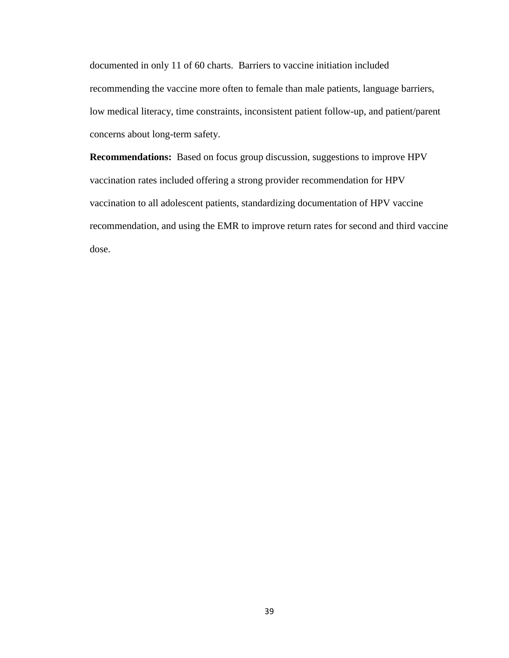documented in only 11 of 60 charts. Barriers to vaccine initiation included recommending the vaccine more often to female than male patients, language barriers, low medical literacy, time constraints, inconsistent patient follow-up, and patient/parent concerns about long-term safety.

**Recommendations:** Based on focus group discussion, suggestions to improve HPV vaccination rates included offering a strong provider recommendation for HPV vaccination to all adolescent patients, standardizing documentation of HPV vaccine recommendation, and using the EMR to improve return rates for second and third vaccine dose.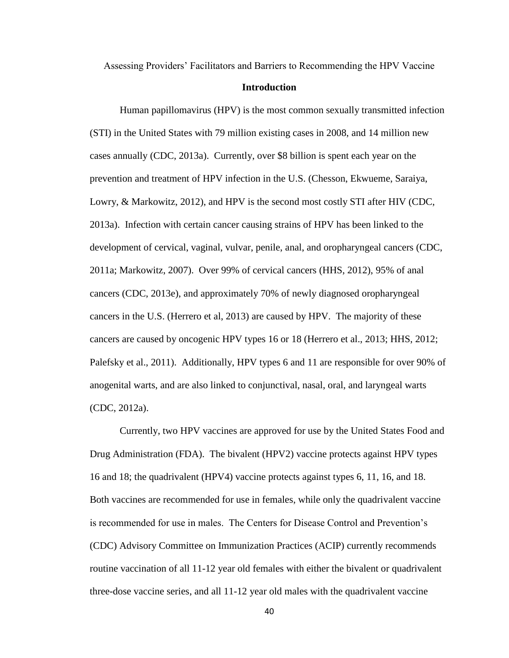Assessing Providers' Facilitators and Barriers to Recommending the HPV Vaccine

### **Introduction**

Human papillomavirus (HPV) is the most common sexually transmitted infection (STI) in the United States with 79 million existing cases in 2008, and 14 million new cases annually (CDC, 2013a). Currently, over \$8 billion is spent each year on the prevention and treatment of HPV infection in the U.S. (Chesson, Ekwueme, Saraiya, Lowry, & Markowitz, 2012), and HPV is the second most costly STI after HIV (CDC, 2013a). Infection with certain cancer causing strains of HPV has been linked to the development of cervical, vaginal, vulvar, penile, anal, and oropharyngeal cancers (CDC, 2011a; Markowitz, 2007). Over 99% of cervical cancers (HHS, 2012), 95% of anal cancers (CDC, 2013e), and approximately 70% of newly diagnosed oropharyngeal cancers in the U.S. (Herrero et al, 2013) are caused by HPV. The majority of these cancers are caused by oncogenic HPV types 16 or 18 (Herrero et al., 2013; HHS, 2012; Palefsky et al., 2011). Additionally, HPV types 6 and 11 are responsible for over 90% of anogenital warts, and are also linked to conjunctival, nasal, oral, and laryngeal warts (CDC, 2012a).

Currently, two HPV vaccines are approved for use by the United States Food and Drug Administration (FDA). The bivalent (HPV2) vaccine protects against HPV types 16 and 18; the quadrivalent (HPV4) vaccine protects against types 6, 11, 16, and 18. Both vaccines are recommended for use in females, while only the quadrivalent vaccine is recommended for use in males. The Centers for Disease Control and Prevention's (CDC) Advisory Committee on Immunization Practices (ACIP) currently recommends routine vaccination of all 11-12 year old females with either the bivalent or quadrivalent three-dose vaccine series, and all 11-12 year old males with the quadrivalent vaccine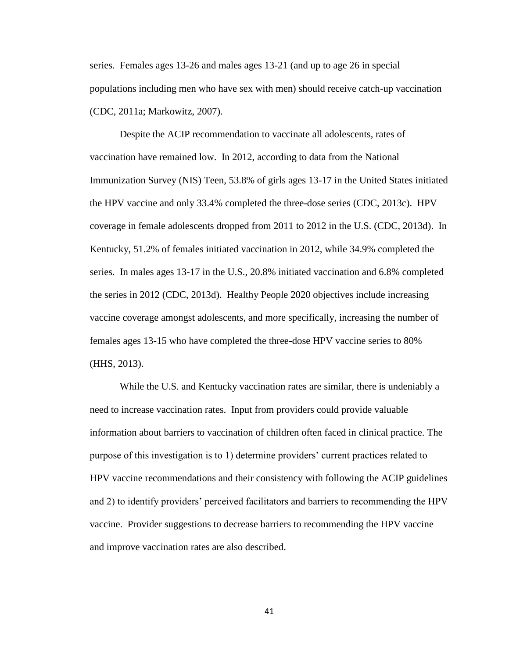series. Females ages 13-26 and males ages 13-21 (and up to age 26 in special populations including men who have sex with men) should receive catch-up vaccination (CDC, 2011a; Markowitz, 2007).

 Despite the ACIP recommendation to vaccinate all adolescents, rates of vaccination have remained low. In 2012, according to data from the National Immunization Survey (NIS) Teen, 53.8% of girls ages 13-17 in the United States initiated the HPV vaccine and only 33.4% completed the three-dose series (CDC, 2013c). HPV coverage in female adolescents dropped from 2011 to 2012 in the U.S. (CDC, 2013d). In Kentucky, 51.2% of females initiated vaccination in 2012, while 34.9% completed the series. In males ages 13-17 in the U.S., 20.8% initiated vaccination and 6.8% completed the series in 2012 (CDC, 2013d). Healthy People 2020 objectives include increasing vaccine coverage amongst adolescents, and more specifically, increasing the number of females ages 13-15 who have completed the three-dose HPV vaccine series to 80% (HHS, 2013).

While the U.S. and Kentucky vaccination rates are similar, there is undeniably a need to increase vaccination rates. Input from providers could provide valuable information about barriers to vaccination of children often faced in clinical practice. The purpose of this investigation is to 1) determine providers' current practices related to HPV vaccine recommendations and their consistency with following the ACIP guidelines and 2) to identify providers' perceived facilitators and barriers to recommending the HPV vaccine. Provider suggestions to decrease barriers to recommending the HPV vaccine and improve vaccination rates are also described.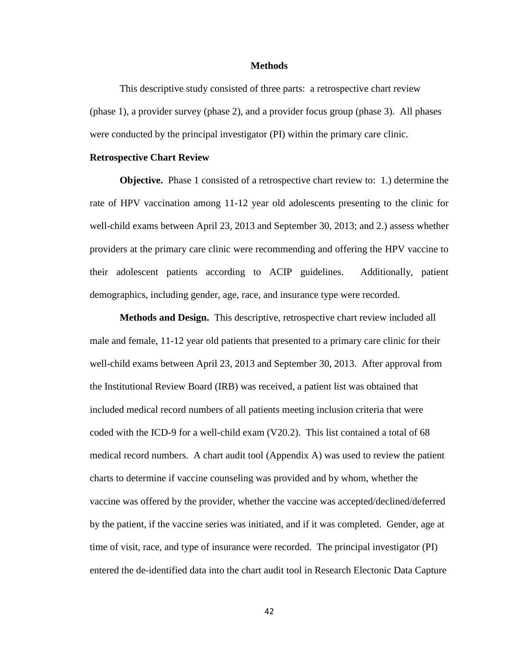### **Methods**

This descriptive study consisted of three parts: a retrospective chart review (phase 1), a provider survey (phase 2), and a provider focus group (phase 3). All phases were conducted by the principal investigator (PI) within the primary care clinic.

### **Retrospective Chart Review**

**Objective.** Phase 1 consisted of a retrospective chart review to: 1.) determine the rate of HPV vaccination among 11-12 year old adolescents presenting to the clinic for well-child exams between April 23, 2013 and September 30, 2013; and 2.) assess whether providers at the primary care clinic were recommending and offering the HPV vaccine to their adolescent patients according to ACIP guidelines. Additionally, patient demographics, including gender, age, race, and insurance type were recorded.

**Methods and Design.** This descriptive, retrospective chart review included all male and female, 11-12 year old patients that presented to a primary care clinic for their well-child exams between April 23, 2013 and September 30, 2013. After approval from the Institutional Review Board (IRB) was received, a patient list was obtained that included medical record numbers of all patients meeting inclusion criteria that were coded with the ICD-9 for a well-child exam (V20.2). This list contained a total of 68 medical record numbers. A chart audit tool (Appendix A) was used to review the patient charts to determine if vaccine counseling was provided and by whom, whether the vaccine was offered by the provider, whether the vaccine was accepted/declined/deferred by the patient, if the vaccine series was initiated, and if it was completed. Gender, age at time of visit, race, and type of insurance were recorded. The principal investigator (PI) entered the de-identified data into the chart audit tool in Research Electonic Data Capture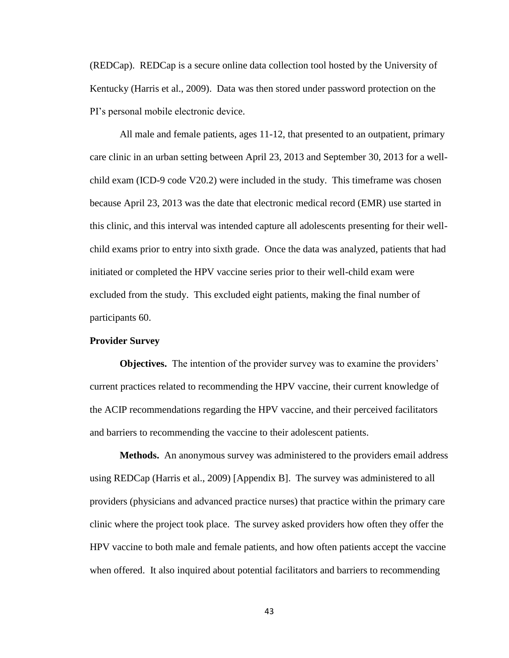(REDCap). REDCap is a secure online data collection tool hosted by the University of Kentucky (Harris et al., 2009). Data was then stored under password protection on the PI's personal mobile electronic device.

All male and female patients, ages 11-12, that presented to an outpatient, primary care clinic in an urban setting between April 23, 2013 and September 30, 2013 for a wellchild exam (ICD-9 code V20.2) were included in the study. This timeframe was chosen because April 23, 2013 was the date that electronic medical record (EMR) use started in this clinic, and this interval was intended capture all adolescents presenting for their wellchild exams prior to entry into sixth grade. Once the data was analyzed, patients that had initiated or completed the HPV vaccine series prior to their well-child exam were excluded from the study. This excluded eight patients, making the final number of participants 60.

### **Provider Survey**

**Objectives.** The intention of the provider survey was to examine the providers' current practices related to recommending the HPV vaccine, their current knowledge of the ACIP recommendations regarding the HPV vaccine, and their perceived facilitators and barriers to recommending the vaccine to their adolescent patients.

**Methods.** An anonymous survey was administered to the providers email address using REDCap (Harris et al., 2009) [Appendix B]. The survey was administered to all providers (physicians and advanced practice nurses) that practice within the primary care clinic where the project took place. The survey asked providers how often they offer the HPV vaccine to both male and female patients, and how often patients accept the vaccine when offered. It also inquired about potential facilitators and barriers to recommending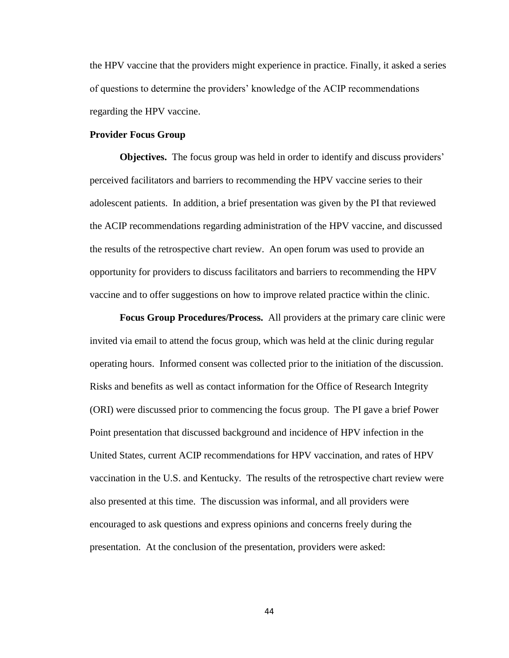the HPV vaccine that the providers might experience in practice. Finally, it asked a series of questions to determine the providers' knowledge of the ACIP recommendations regarding the HPV vaccine.

### **Provider Focus Group**

**Objectives.** The focus group was held in order to identify and discuss providers' perceived facilitators and barriers to recommending the HPV vaccine series to their adolescent patients. In addition, a brief presentation was given by the PI that reviewed the ACIP recommendations regarding administration of the HPV vaccine, and discussed the results of the retrospective chart review. An open forum was used to provide an opportunity for providers to discuss facilitators and barriers to recommending the HPV vaccine and to offer suggestions on how to improve related practice within the clinic.

**Focus Group Procedures/Process.** All providers at the primary care clinic were invited via email to attend the focus group, which was held at the clinic during regular operating hours. Informed consent was collected prior to the initiation of the discussion. Risks and benefits as well as contact information for the Office of Research Integrity (ORI) were discussed prior to commencing the focus group. The PI gave a brief Power Point presentation that discussed background and incidence of HPV infection in the United States, current ACIP recommendations for HPV vaccination, and rates of HPV vaccination in the U.S. and Kentucky. The results of the retrospective chart review were also presented at this time. The discussion was informal, and all providers were encouraged to ask questions and express opinions and concerns freely during the presentation. At the conclusion of the presentation, providers were asked: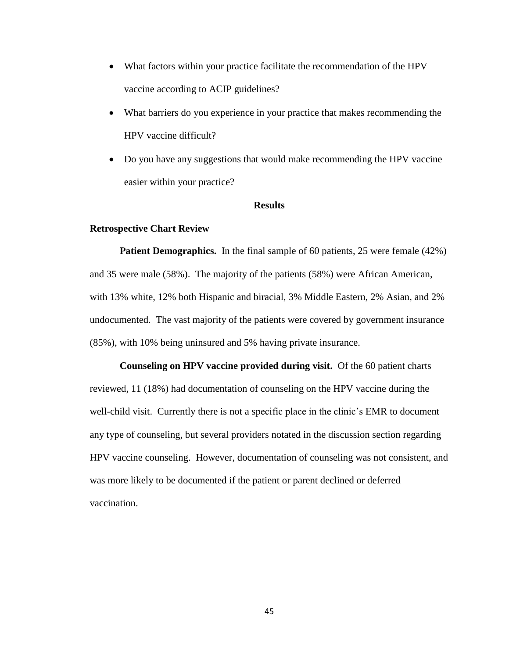- What factors within your practice facilitate the recommendation of the HPV vaccine according to ACIP guidelines?
- What barriers do you experience in your practice that makes recommending the HPV vaccine difficult?
- Do you have any suggestions that would make recommending the HPV vaccine easier within your practice?

### **Results**

### **Retrospective Chart Review**

**Patient Demographics.** In the final sample of 60 patients, 25 were female (42%) and 35 were male (58%). The majority of the patients (58%) were African American, with 13% white, 12% both Hispanic and biracial, 3% Middle Eastern, 2% Asian, and 2% undocumented. The vast majority of the patients were covered by government insurance (85%), with 10% being uninsured and 5% having private insurance.

**Counseling on HPV vaccine provided during visit.** Of the 60 patient charts reviewed, 11 (18%) had documentation of counseling on the HPV vaccine during the well-child visit. Currently there is not a specific place in the clinic's EMR to document any type of counseling, but several providers notated in the discussion section regarding HPV vaccine counseling. However, documentation of counseling was not consistent, and was more likely to be documented if the patient or parent declined or deferred vaccination.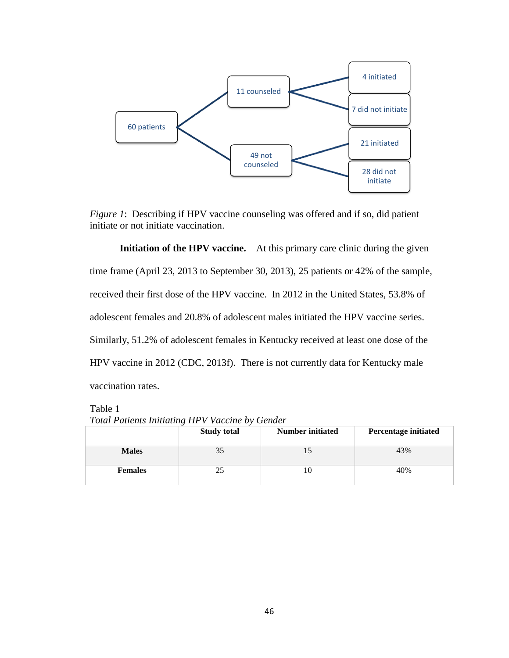

*Figure 1*: Describing if HPV vaccine counseling was offered and if so, did patient initiate or not initiate vaccination.

**Initiation of the HPV vaccine.** At this primary care clinic during the given time frame (April 23, 2013 to September 30, 2013), 25 patients or 42% of the sample, received their first dose of the HPV vaccine. In 2012 in the United States, 53.8% of adolescent females and 20.8% of adolescent males initiated the HPV vaccine series. Similarly, 51.2% of adolescent females in Kentucky received at least one dose of the HPV vaccine in 2012 (CDC, 2013f). There is not currently data for Kentucky male vaccination rates.

Table 1

*Total Patients Initiating HPV Vaccine by Gender*

|                | <br><b>Study total</b> | <b>Number initiated</b> | <b>Percentage initiated</b> |
|----------------|------------------------|-------------------------|-----------------------------|
| <b>Males</b>   | 35                     |                         | 43%                         |
| <b>Females</b> | 25                     | 10                      | 40%                         |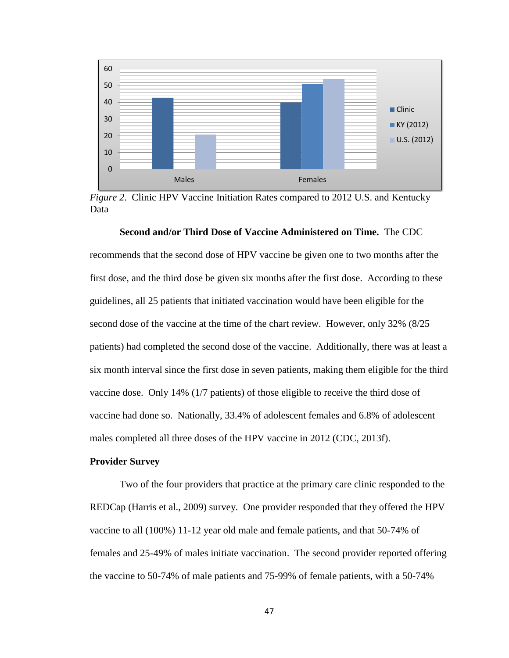

*Figure 2*. Clinic HPV Vaccine Initiation Rates compared to 2012 U.S. and Kentucky Data

**Second and/or Third Dose of Vaccine Administered on Time.** The CDC

recommends that the second dose of HPV vaccine be given one to two months after the first dose, and the third dose be given six months after the first dose. According to these guidelines, all 25 patients that initiated vaccination would have been eligible for the second dose of the vaccine at the time of the chart review. However, only 32% (8/25 patients) had completed the second dose of the vaccine. Additionally, there was at least a six month interval since the first dose in seven patients, making them eligible for the third vaccine dose. Only 14% (1/7 patients) of those eligible to receive the third dose of vaccine had done so. Nationally, 33.4% of adolescent females and 6.8% of adolescent males completed all three doses of the HPV vaccine in 2012 (CDC, 2013f).

### **Provider Survey**

Two of the four providers that practice at the primary care clinic responded to the REDCap (Harris et al., 2009) survey. One provider responded that they offered the HPV vaccine to all (100%) 11-12 year old male and female patients, and that 50-74% of females and 25-49% of males initiate vaccination. The second provider reported offering the vaccine to 50-74% of male patients and 75-99% of female patients, with a 50-74%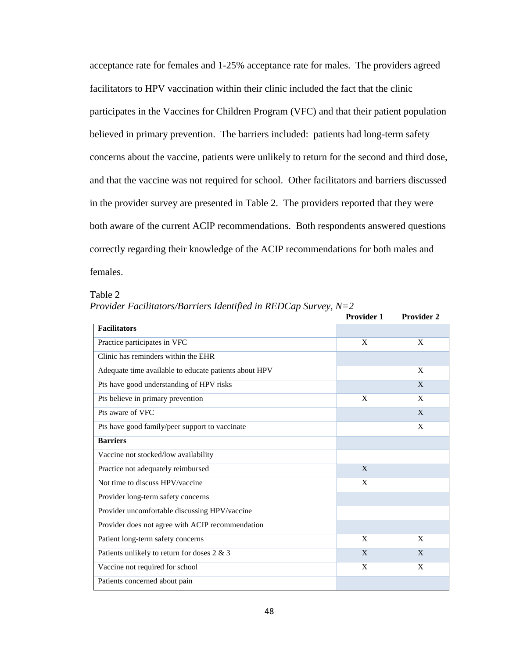acceptance rate for females and 1-25% acceptance rate for males. The providers agreed facilitators to HPV vaccination within their clinic included the fact that the clinic participates in the Vaccines for Children Program (VFC) and that their patient population believed in primary prevention. The barriers included: patients had long-term safety concerns about the vaccine, patients were unlikely to return for the second and third dose, and that the vaccine was not required for school. Other facilitators and barriers discussed in the provider survey are presented in Table 2. The providers reported that they were both aware of the current ACIP recommendations. Both respondents answered questions correctly regarding their knowledge of the ACIP recommendations for both males and females.

Table 2

*Provider Facilitators/Barriers Identified in REDCap Survey, N=2*

|                                                       | <b>Provider 1</b> | <b>Provider 2</b> |
|-------------------------------------------------------|-------------------|-------------------|
| <b>Facilitators</b>                                   |                   |                   |
| Practice participates in VFC                          | X                 | X                 |
| Clinic has reminders within the EHR                   |                   |                   |
| Adequate time available to educate patients about HPV |                   | X                 |
| Pts have good understanding of HPV risks              |                   | X                 |
| Pts believe in primary prevention                     | X                 | $\mathbf{x}$      |
| Pts aware of VFC                                      |                   | X                 |
| Pts have good family/peer support to vaccinate        |                   | X                 |
| <b>Barriers</b>                                       |                   |                   |
| Vaccine not stocked/low availability                  |                   |                   |
| Practice not adequately reimbursed                    | $\mathbf{X}$      |                   |
| Not time to discuss HPV/vaccine                       | X                 |                   |
| Provider long-term safety concerns                    |                   |                   |
| Provider uncomfortable discussing HPV/vaccine         |                   |                   |
| Provider does not agree with ACIP recommendation      |                   |                   |
| Patient long-term safety concerns                     | X                 | X                 |
| Patients unlikely to return for doses 2 & 3           | X                 | X                 |
| Vaccine not required for school                       | X                 | X                 |
| Patients concerned about pain                         |                   |                   |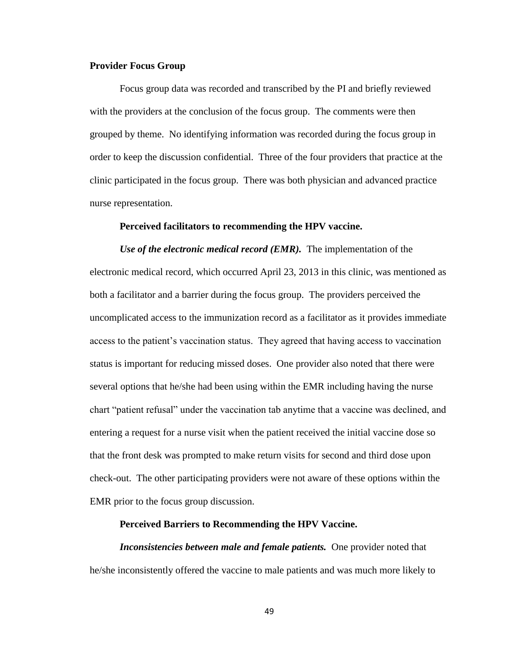### **Provider Focus Group**

Focus group data was recorded and transcribed by the PI and briefly reviewed with the providers at the conclusion of the focus group. The comments were then grouped by theme. No identifying information was recorded during the focus group in order to keep the discussion confidential. Three of the four providers that practice at the clinic participated in the focus group. There was both physician and advanced practice nurse representation.

#### **Perceived facilitators to recommending the HPV vaccine.**

*Use of the electronic medical record (EMR).* The implementation of the electronic medical record, which occurred April 23, 2013 in this clinic, was mentioned as both a facilitator and a barrier during the focus group. The providers perceived the uncomplicated access to the immunization record as a facilitator as it provides immediate access to the patient's vaccination status. They agreed that having access to vaccination status is important for reducing missed doses. One provider also noted that there were several options that he/she had been using within the EMR including having the nurse chart "patient refusal" under the vaccination tab anytime that a vaccine was declined, and entering a request for a nurse visit when the patient received the initial vaccine dose so that the front desk was prompted to make return visits for second and third dose upon check-out. The other participating providers were not aware of these options within the EMR prior to the focus group discussion.

#### **Perceived Barriers to Recommending the HPV Vaccine.**

*Inconsistencies between male and female patients.* One provider noted that he/she inconsistently offered the vaccine to male patients and was much more likely to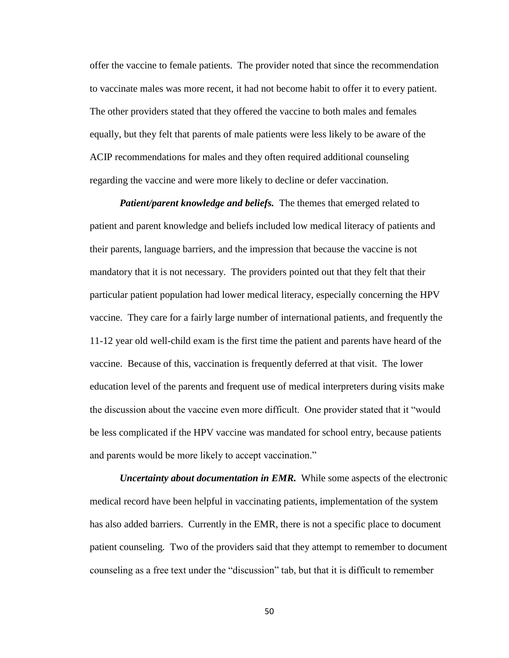offer the vaccine to female patients. The provider noted that since the recommendation to vaccinate males was more recent, it had not become habit to offer it to every patient. The other providers stated that they offered the vaccine to both males and females equally, but they felt that parents of male patients were less likely to be aware of the ACIP recommendations for males and they often required additional counseling regarding the vaccine and were more likely to decline or defer vaccination.

*Patient/parent knowledge and beliefs.* The themes that emerged related to patient and parent knowledge and beliefs included low medical literacy of patients and their parents, language barriers, and the impression that because the vaccine is not mandatory that it is not necessary.The providers pointed out that they felt that their particular patient population had lower medical literacy, especially concerning the HPV vaccine. They care for a fairly large number of international patients, and frequently the 11-12 year old well-child exam is the first time the patient and parents have heard of the vaccine. Because of this, vaccination is frequently deferred at that visit. The lower education level of the parents and frequent use of medical interpreters during visits make the discussion about the vaccine even more difficult. One provider stated that it "would be less complicated if the HPV vaccine was mandated for school entry, because patients and parents would be more likely to accept vaccination."

*Uncertainty about documentation in EMR.* While some aspects of the electronic medical record have been helpful in vaccinating patients, implementation of the system has also added barriers. Currently in the EMR, there is not a specific place to document patient counseling. Two of the providers said that they attempt to remember to document counseling as a free text under the "discussion" tab, but that it is difficult to remember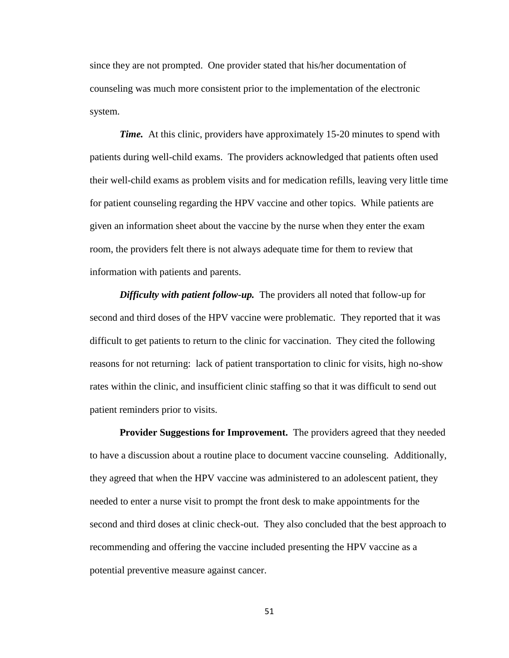since they are not prompted. One provider stated that his/her documentation of counseling was much more consistent prior to the implementation of the electronic system.

*Time.* At this clinic, providers have approximately 15-20 minutes to spend with patients during well-child exams. The providers acknowledged that patients often used their well-child exams as problem visits and for medication refills, leaving very little time for patient counseling regarding the HPV vaccine and other topics. While patients are given an information sheet about the vaccine by the nurse when they enter the exam room, the providers felt there is not always adequate time for them to review that information with patients and parents.

*Difficulty with patient follow-up.* The providers all noted that follow-up for second and third doses of the HPV vaccine were problematic. They reported that it was difficult to get patients to return to the clinic for vaccination. They cited the following reasons for not returning: lack of patient transportation to clinic for visits, high no-show rates within the clinic, and insufficient clinic staffing so that it was difficult to send out patient reminders prior to visits.

**Provider Suggestions for Improvement.** The providers agreed that they needed to have a discussion about a routine place to document vaccine counseling. Additionally, they agreed that when the HPV vaccine was administered to an adolescent patient, they needed to enter a nurse visit to prompt the front desk to make appointments for the second and third doses at clinic check-out. They also concluded that the best approach to recommending and offering the vaccine included presenting the HPV vaccine as a potential preventive measure against cancer.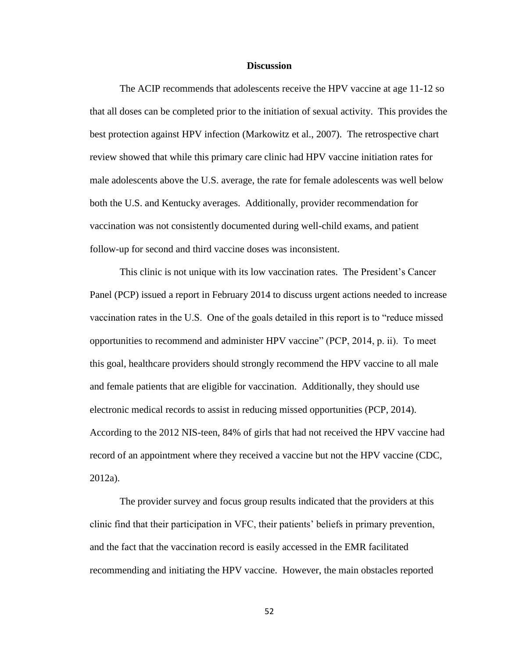### **Discussion**

The ACIP recommends that adolescents receive the HPV vaccine at age 11-12 so that all doses can be completed prior to the initiation of sexual activity. This provides the best protection against HPV infection (Markowitz et al., 2007). The retrospective chart review showed that while this primary care clinic had HPV vaccine initiation rates for male adolescents above the U.S. average, the rate for female adolescents was well below both the U.S. and Kentucky averages. Additionally, provider recommendation for vaccination was not consistently documented during well-child exams, and patient follow-up for second and third vaccine doses was inconsistent.

This clinic is not unique with its low vaccination rates. The President's Cancer Panel (PCP) issued a report in February 2014 to discuss urgent actions needed to increase vaccination rates in the U.S. One of the goals detailed in this report is to "reduce missed opportunities to recommend and administer HPV vaccine" (PCP, 2014, p. ii). To meet this goal, healthcare providers should strongly recommend the HPV vaccine to all male and female patients that are eligible for vaccination. Additionally, they should use electronic medical records to assist in reducing missed opportunities (PCP, 2014). According to the 2012 NIS-teen, 84% of girls that had not received the HPV vaccine had record of an appointment where they received a vaccine but not the HPV vaccine (CDC, 2012a).

The provider survey and focus group results indicated that the providers at this clinic find that their participation in VFC, their patients' beliefs in primary prevention, and the fact that the vaccination record is easily accessed in the EMR facilitated recommending and initiating the HPV vaccine. However, the main obstacles reported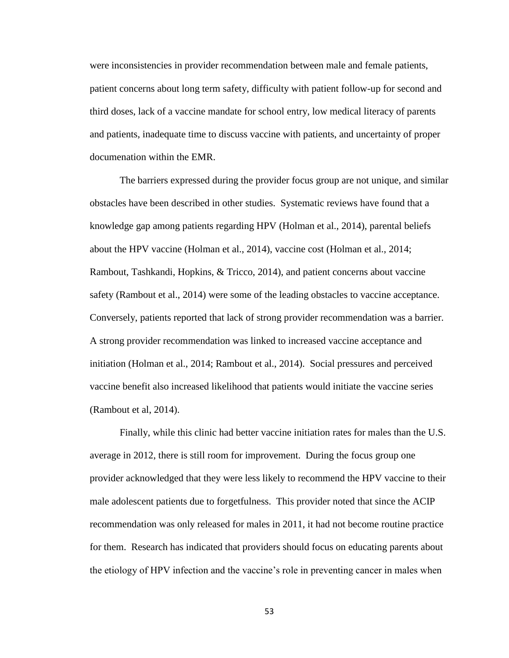were inconsistencies in provider recommendation between male and female patients, patient concerns about long term safety, difficulty with patient follow-up for second and third doses, lack of a vaccine mandate for school entry, low medical literacy of parents and patients, inadequate time to discuss vaccine with patients, and uncertainty of proper documenation within the EMR.

The barriers expressed during the provider focus group are not unique, and similar obstacles have been described in other studies. Systematic reviews have found that a knowledge gap among patients regarding HPV (Holman et al., 2014), parental beliefs about the HPV vaccine (Holman et al., 2014), vaccine cost (Holman et al., 2014; Rambout, Tashkandi, Hopkins, & Tricco, 2014), and patient concerns about vaccine safety (Rambout et al., 2014) were some of the leading obstacles to vaccine acceptance. Conversely, patients reported that lack of strong provider recommendation was a barrier. A strong provider recommendation was linked to increased vaccine acceptance and initiation (Holman et al., 2014; Rambout et al., 2014). Social pressures and perceived vaccine benefit also increased likelihood that patients would initiate the vaccine series (Rambout et al, 2014).

Finally, while this clinic had better vaccine initiation rates for males than the U.S. average in 2012, there is still room for improvement. During the focus group one provider acknowledged that they were less likely to recommend the HPV vaccine to their male adolescent patients due to forgetfulness. This provider noted that since the ACIP recommendation was only released for males in 2011, it had not become routine practice for them. Research has indicated that providers should focus on educating parents about the etiology of HPV infection and the vaccine's role in preventing cancer in males when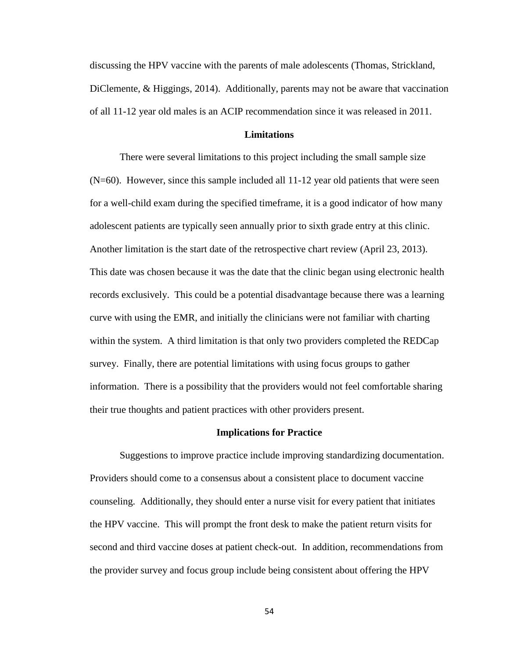discussing the HPV vaccine with the parents of male adolescents (Thomas, Strickland, DiClemente, & Higgings, 2014). Additionally, parents may not be aware that vaccination of all 11-12 year old males is an ACIP recommendation since it was released in 2011.

### **Limitations**

There were several limitations to this project including the small sample size  $(N=60)$ . However, since this sample included all  $11-12$  year old patients that were seen for a well-child exam during the specified timeframe, it is a good indicator of how many adolescent patients are typically seen annually prior to sixth grade entry at this clinic. Another limitation is the start date of the retrospective chart review (April 23, 2013). This date was chosen because it was the date that the clinic began using electronic health records exclusively. This could be a potential disadvantage because there was a learning curve with using the EMR, and initially the clinicians were not familiar with charting within the system. A third limitation is that only two providers completed the REDCap survey. Finally, there are potential limitations with using focus groups to gather information. There is a possibility that the providers would not feel comfortable sharing their true thoughts and patient practices with other providers present.

#### **Implications for Practice**

Suggestions to improve practice include improving standardizing documentation. Providers should come to a consensus about a consistent place to document vaccine counseling. Additionally, they should enter a nurse visit for every patient that initiates the HPV vaccine. This will prompt the front desk to make the patient return visits for second and third vaccine doses at patient check-out. In addition, recommendations from the provider survey and focus group include being consistent about offering the HPV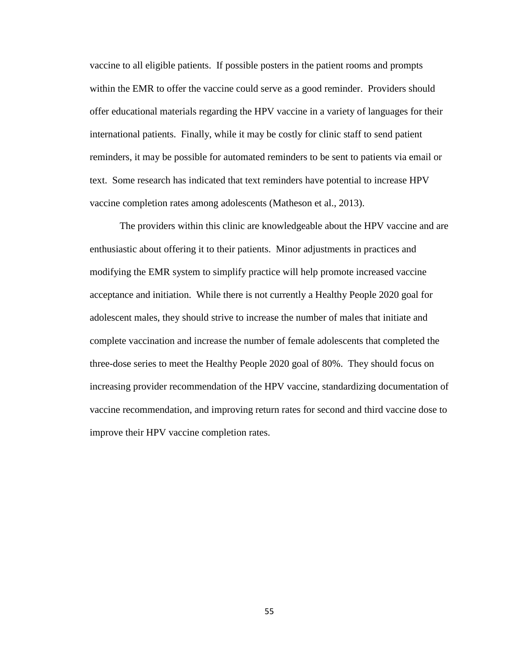vaccine to all eligible patients. If possible posters in the patient rooms and prompts within the EMR to offer the vaccine could serve as a good reminder. Providers should offer educational materials regarding the HPV vaccine in a variety of languages for their international patients. Finally, while it may be costly for clinic staff to send patient reminders, it may be possible for automated reminders to be sent to patients via email or text. Some research has indicated that text reminders have potential to increase HPV vaccine completion rates among adolescents (Matheson et al., 2013).

The providers within this clinic are knowledgeable about the HPV vaccine and are enthusiastic about offering it to their patients. Minor adjustments in practices and modifying the EMR system to simplify practice will help promote increased vaccine acceptance and initiation. While there is not currently a Healthy People 2020 goal for adolescent males, they should strive to increase the number of males that initiate and complete vaccination and increase the number of female adolescents that completed the three-dose series to meet the Healthy People 2020 goal of 80%. They should focus on increasing provider recommendation of the HPV vaccine, standardizing documentation of vaccine recommendation, and improving return rates for second and third vaccine dose to improve their HPV vaccine completion rates.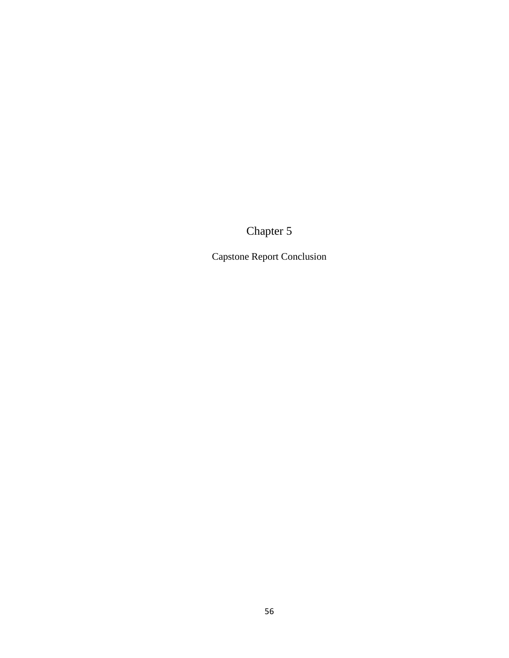Chapter 5

Capstone Report Conclusion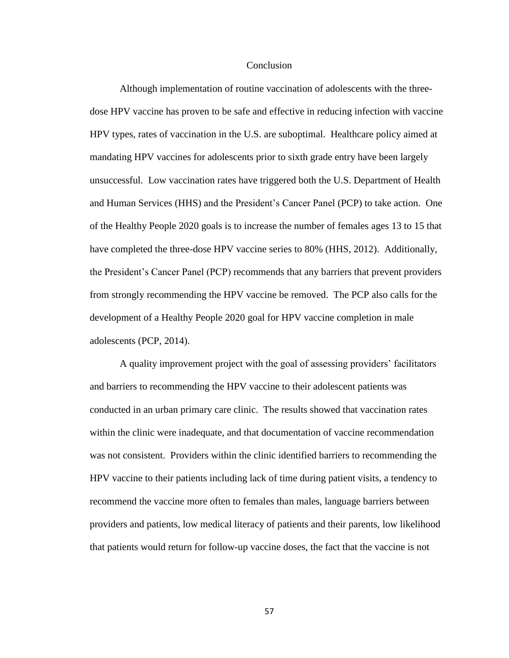#### **Conclusion**

Although implementation of routine vaccination of adolescents with the threedose HPV vaccine has proven to be safe and effective in reducing infection with vaccine HPV types, rates of vaccination in the U.S. are suboptimal. Healthcare policy aimed at mandating HPV vaccines for adolescents prior to sixth grade entry have been largely unsuccessful. Low vaccination rates have triggered both the U.S. Department of Health and Human Services (HHS) and the President's Cancer Panel (PCP) to take action. One of the Healthy People 2020 goals is to increase the number of females ages 13 to 15 that have completed the three-dose HPV vaccine series to 80% (HHS, 2012). Additionally, the President's Cancer Panel (PCP) recommends that any barriers that prevent providers from strongly recommending the HPV vaccine be removed. The PCP also calls for the development of a Healthy People 2020 goal for HPV vaccine completion in male adolescents (PCP, 2014).

A quality improvement project with the goal of assessing providers' facilitators and barriers to recommending the HPV vaccine to their adolescent patients was conducted in an urban primary care clinic. The results showed that vaccination rates within the clinic were inadequate, and that documentation of vaccine recommendation was not consistent. Providers within the clinic identified barriers to recommending the HPV vaccine to their patients including lack of time during patient visits, a tendency to recommend the vaccine more often to females than males, language barriers between providers and patients, low medical literacy of patients and their parents, low likelihood that patients would return for follow-up vaccine doses, the fact that the vaccine is not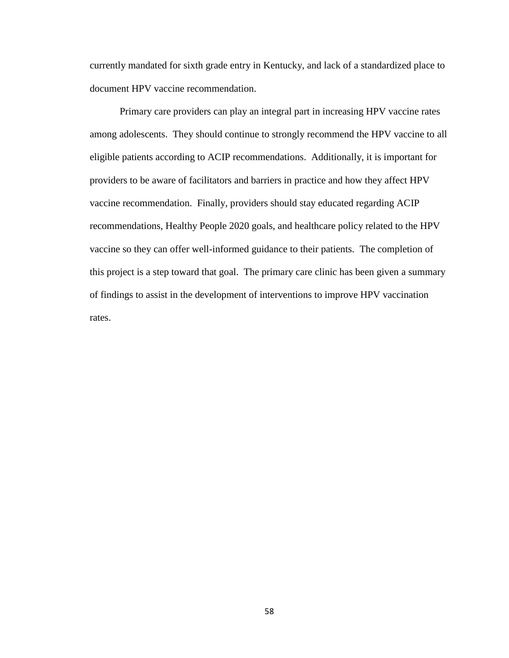currently mandated for sixth grade entry in Kentucky, and lack of a standardized place to document HPV vaccine recommendation.

Primary care providers can play an integral part in increasing HPV vaccine rates among adolescents. They should continue to strongly recommend the HPV vaccine to all eligible patients according to ACIP recommendations. Additionally, it is important for providers to be aware of facilitators and barriers in practice and how they affect HPV vaccine recommendation. Finally, providers should stay educated regarding ACIP recommendations, Healthy People 2020 goals, and healthcare policy related to the HPV vaccine so they can offer well-informed guidance to their patients. The completion of this project is a step toward that goal. The primary care clinic has been given a summary of findings to assist in the development of interventions to improve HPV vaccination rates.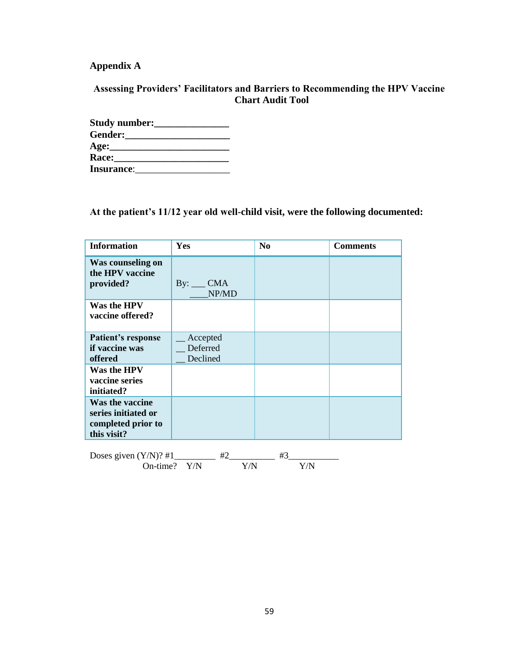## **Appendix A**

## **Assessing Providers' Facilitators and Barriers to Recommending the HPV Vaccine Chart Audit Tool**

| Study number:     |  |
|-------------------|--|
| Gender:           |  |
|                   |  |
| <b>Race:</b>      |  |
| <b>Insurance:</b> |  |

## **At the patient's 11/12 year old well-child visit, were the following documented:**

| <b>Information</b>                                                          | Yes                              | N <sub>0</sub> | <b>Comments</b> |
|-----------------------------------------------------------------------------|----------------------------------|----------------|-----------------|
| Was counseling on<br>the HPV vaccine<br>provided?                           | $By: \_\_\_ CMANP/MD$            |                |                 |
| Was the HPV<br>vaccine offered?                                             |                                  |                |                 |
| Patient's response<br>if vaccine was<br>offered                             | Accepted<br>Deferred<br>Declined |                |                 |
| Was the HPV<br>vaccine series<br>initiated?                                 |                                  |                |                 |
| Was the vaccine<br>series initiated or<br>completed prior to<br>this visit? |                                  |                |                 |
|                                                                             | #2<br>On-time? Y/N<br>Y/N        | #3<br>Y/N      |                 |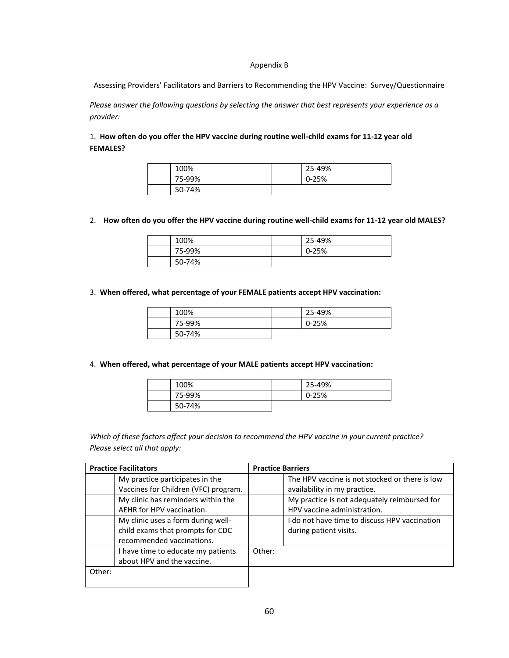#### Appendix B

Assessing Providers' Facilitators and Barriers to Recommending the HPV Vaccine: Survey/Questionnaire

*Please answer the following questions by selecting the answer that best represents your experience as a provider:*

1. **How often do you offer the HPV vaccine during routine well-child exams for 11-12 year old FEMALES?**

| 100%   | 25-49%    |
|--------|-----------|
| 75-99% | $0 - 25%$ |
| 50-74% |           |

2. **How often do you offer the HPV vaccine during routine well-child exams for 11-12 year old MALES?**

| 100%   | 25-49%    |
|--------|-----------|
| 75-99% | $0 - 25%$ |
| 50-74% |           |

3. **When offered, what percentage of your FEMALE patients accept HPV vaccination:**

| 100%   | 25-49%    |
|--------|-----------|
| 75-99% | $0 - 25%$ |
| 50-74% |           |

#### 4. **When offered, what percentage of your MALE patients accept HPV vaccination:**

| 100%   | 25-49%    |
|--------|-----------|
| 75-99% | $0 - 25%$ |
| 50-74% |           |

*Which of these factors affect your decision to recommend the HPV vaccine in your current practice? Please select all that apply:*

| <b>Practice Facilitators</b> |                                      | <b>Practice Barriers</b> |                                                |
|------------------------------|--------------------------------------|--------------------------|------------------------------------------------|
|                              | My practice participates in the      |                          | The HPV vaccine is not stocked or there is low |
|                              | Vaccines for Children (VFC) program. |                          | availability in my practice.                   |
|                              | My clinic has reminders within the   |                          | My practice is not adequately reimbursed for   |
|                              | AEHR for HPV vaccination.            |                          | HPV vaccine administration.                    |
|                              | My clinic uses a form during well-   |                          | I do not have time to discuss HPV vaccination  |
|                              | child exams that prompts for CDC     |                          | during patient visits.                         |
|                              | recommended vaccinations.            |                          |                                                |
|                              | I have time to educate my patients   | Other:                   |                                                |
|                              | about HPV and the vaccine.           |                          |                                                |
| Other:                       |                                      |                          |                                                |
|                              |                                      |                          |                                                |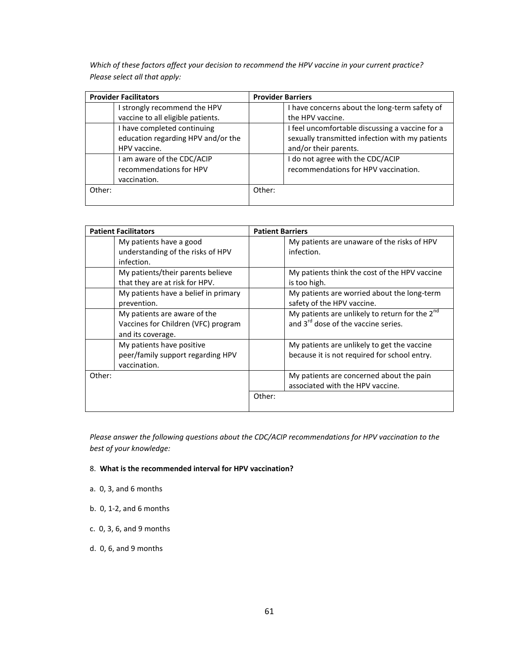*Which of these factors affect your decision to recommend the HPV vaccine in your current practice? Please select all that apply:*

| <b>Provider Facilitators</b>       | <b>Provider Barriers</b>                        |  |
|------------------------------------|-------------------------------------------------|--|
| I strongly recommend the HPV       | I have concerns about the long-term safety of   |  |
| vaccine to all eligible patients.  | the HPV vaccine.                                |  |
| I have completed continuing        | I feel uncomfortable discussing a vaccine for a |  |
| education regarding HPV and/or the | sexually transmitted infection with my patients |  |
| HPV vaccine.                       | and/or their parents.                           |  |
| I am aware of the CDC/ACIP         | I do not agree with the CDC/ACIP                |  |
| recommendations for HPV            | recommendations for HPV vaccination.            |  |
| vaccination.                       |                                                 |  |
| Other:                             | Other:                                          |  |
|                                    |                                                 |  |

| <b>Patient Facilitators</b>                                                              | <b>Patient Barriers</b>                                                                                |
|------------------------------------------------------------------------------------------|--------------------------------------------------------------------------------------------------------|
| My patients have a good<br>understanding of the risks of HPV<br>infection.               | My patients are unaware of the risks of HPV<br>infection.                                              |
| My patients/their parents believe<br>that they are at risk for HPV.                      | My patients think the cost of the HPV vaccine<br>is too high.                                          |
| My patients have a belief in primary<br>prevention.                                      | My patients are worried about the long-term<br>safety of the HPV vaccine.                              |
| My patients are aware of the<br>Vaccines for Children (VFC) program<br>and its coverage. | My patients are unlikely to return for the $2^{nd}$<br>and 3 <sup>rd</sup> dose of the vaccine series. |
| My patients have positive<br>peer/family support regarding HPV<br>vaccination.           | My patients are unlikely to get the vaccine<br>because it is not required for school entry.            |
| Other:                                                                                   | My patients are concerned about the pain<br>associated with the HPV vaccine.                           |
|                                                                                          | Other:                                                                                                 |

*Please answer the following questions about the CDC/ACIP recommendations for HPV vaccination to the best of your knowledge:*

#### 8. **What is the recommended interval for HPV vaccination?**

- a. 0, 3, and 6 months
- b. 0, 1-2, and 6 months
- c. 0, 3, 6, and 9 months
- d. 0, 6, and 9 months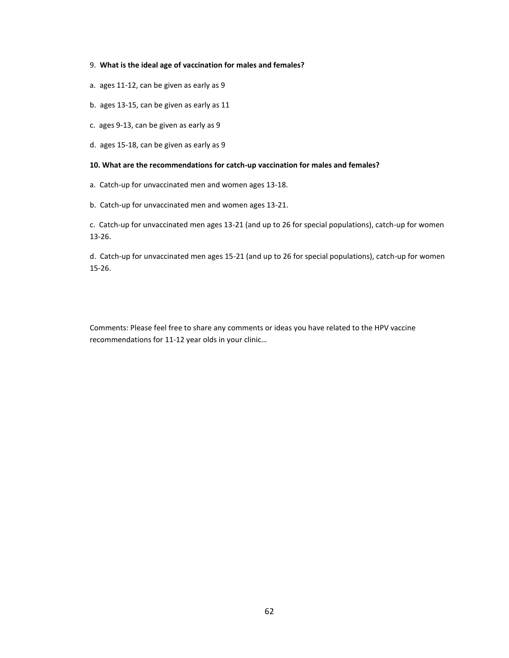#### 9. **What is the ideal age of vaccination for males and females?**

- a. ages 11-12, can be given as early as 9
- b. ages 13-15, can be given as early as 11
- c. ages 9-13, can be given as early as 9
- d. ages 15-18, can be given as early as 9

#### **10. What are the recommendations for catch-up vaccination for males and females?**

- a. Catch-up for unvaccinated men and women ages 13-18.
- b. Catch-up for unvaccinated men and women ages 13-21.

c. Catch-up for unvaccinated men ages 13-21 (and up to 26 for special populations), catch-up for women 13-26.

d. Catch-up for unvaccinated men ages 15-21 (and up to 26 for special populations), catch-up for women 15-26.

Comments: Please feel free to share any comments or ideas you have related to the HPV vaccine recommendations for 11-12 year olds in your clinic…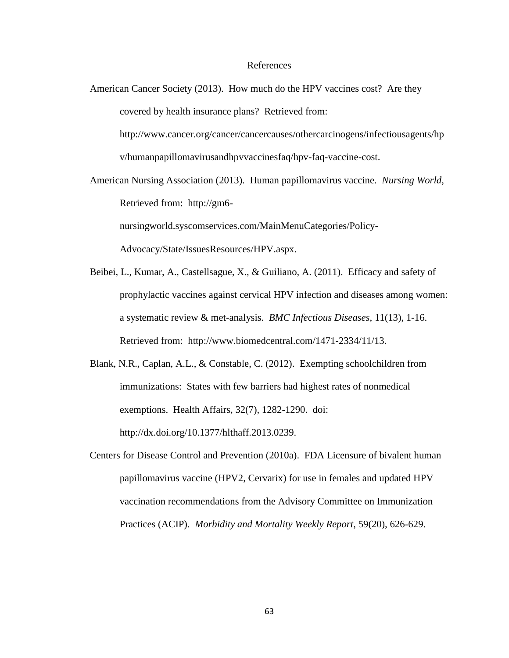#### References

American Cancer Society (2013). How much do the HPV vaccines cost? Are they covered by health insurance plans? Retrieved from:

http://www.cancer.org/cancer/cancercauses/othercarcinogens/infectiousagents/hp v/humanpapillomavirusandhpvvaccinesfaq/hpv-faq-vaccine-cost.

American Nursing Association (2013). Human papillomavirus vaccine. *Nursing World*, Retrieved from: http://gm6-

nursingworld.syscomservices.com/MainMenuCategories/Policy-

Advocacy/State/IssuesResources/HPV.aspx.

Beibei, L., Kumar, A., Castellsague, X., & Guiliano, A. (2011). Efficacy and safety of prophylactic vaccines against cervical HPV infection and diseases among women: a systematic review & met-analysis. *BMC Infectious Diseases*, 11(13), 1-16. Retrieved from: http://www.biomedcentral.com/1471-2334/11/13.

Blank, N.R., Caplan, A.L., & Constable, C. (2012). Exempting schoolchildren from immunizations: States with few barriers had highest rates of nonmedical exemptions. Health Affairs, 32(7), 1282-1290. doi: http://dx.doi.org/10.1377/hlthaff.2013.0239.

Centers for Disease Control and Prevention (2010a). FDA Licensure of bivalent human papillomavirus vaccine (HPV2, Cervarix) for use in females and updated HPV vaccination recommendations from the Advisory Committee on Immunization Practices (ACIP). *Morbidity and Mortality Weekly Report*, 59(20), 626-629.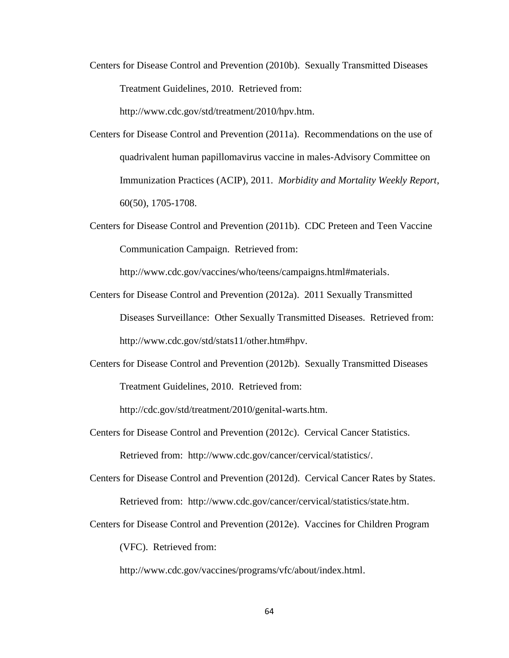Centers for Disease Control and Prevention (2010b). Sexually Transmitted Diseases Treatment Guidelines, 2010. Retrieved from:

http://www.cdc.gov/std/treatment/2010/hpv.htm.

- Centers for Disease Control and Prevention (2011a). Recommendations on the use of quadrivalent human papillomavirus vaccine in males-Advisory Committee on Immunization Practices (ACIP), 2011. *Morbidity and Mortality Weekly Report*, 60(50), 1705-1708.
- Centers for Disease Control and Prevention (2011b). CDC Preteen and Teen Vaccine Communication Campaign. Retrieved from:

http://www.cdc.gov/vaccines/who/teens/campaigns.html#materials.

- Centers for Disease Control and Prevention (2012a). 2011 Sexually Transmitted Diseases Surveillance: Other Sexually Transmitted Diseases. Retrieved from: http://www.cdc.gov/std/stats11/other.htm#hpv.
- Centers for Disease Control and Prevention (2012b). Sexually Transmitted Diseases Treatment Guidelines, 2010. Retrieved from:

http://cdc.gov/std/treatment/2010/genital-warts.htm.

- Centers for Disease Control and Prevention (2012c). Cervical Cancer Statistics. Retrieved from: http://www.cdc.gov/cancer/cervical/statistics/.
- Centers for Disease Control and Prevention (2012d). Cervical Cancer Rates by States. Retrieved from: http://www.cdc.gov/cancer/cervical/statistics/state.htm.
- Centers for Disease Control and Prevention (2012e). Vaccines for Children Program (VFC). Retrieved from:

http://www.cdc.gov/vaccines/programs/vfc/about/index.html.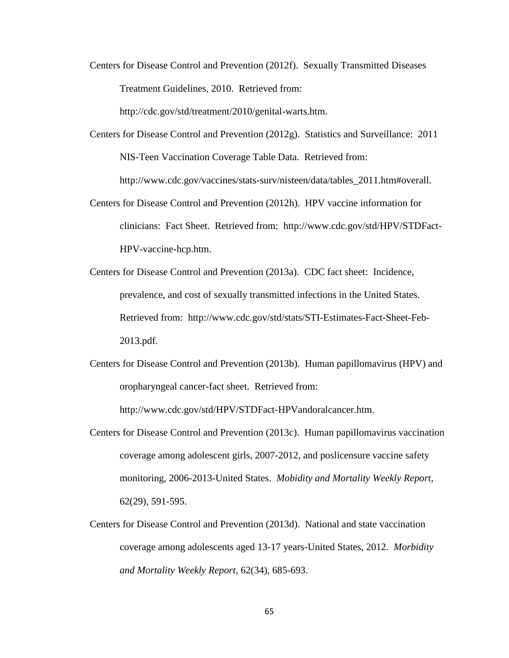Centers for Disease Control and Prevention (2012f). Sexually Transmitted Diseases Treatment Guidelines, 2010. Retrieved from:

http://cdc.gov/std/treatment/2010/genital-warts.htm.

- Centers for Disease Control and Prevention (2012g). Statistics and Surveillance: 2011 NIS-Teen Vaccination Coverage Table Data. Retrieved from: http://www.cdc.gov/vaccines/stats-surv/nisteen/data/tables\_2011.htm#overall.
- Centers for Disease Control and Prevention (2012h). HPV vaccine information for clinicians: Fact Sheet. Retrieved from: http://www.cdc.gov/std/HPV/STDFact-HPV-vaccine-hcp.htm.
- Centers for Disease Control and Prevention (2013a). CDC fact sheet: Incidence, prevalence, and cost of sexually transmitted infections in the United States. Retrieved from: http://www.cdc.gov/std/stats/STI-Estimates-Fact-Sheet-Feb-2013.pdf.
- Centers for Disease Control and Prevention (2013b). Human papillomavirus (HPV) and oropharyngeal cancer-fact sheet. Retrieved from:

http://www.cdc.gov/std/HPV/STDFact-HPVandoralcancer.htm.

- Centers for Disease Control and Prevention (2013c). Human papillomavirus vaccination coverage among adolescent girls, 2007-2012, and poslicensure vaccine safety monitoring, 2006-2013-United States. *Mobidity and Mortality Weekly Report*, 62(29), 591-595.
- Centers for Disease Control and Prevention (2013d). National and state vaccination coverage among adolescents aged 13-17 years-United States, 2012. *Morbidity and Mortality Weekly Report*, 62(34), 685-693.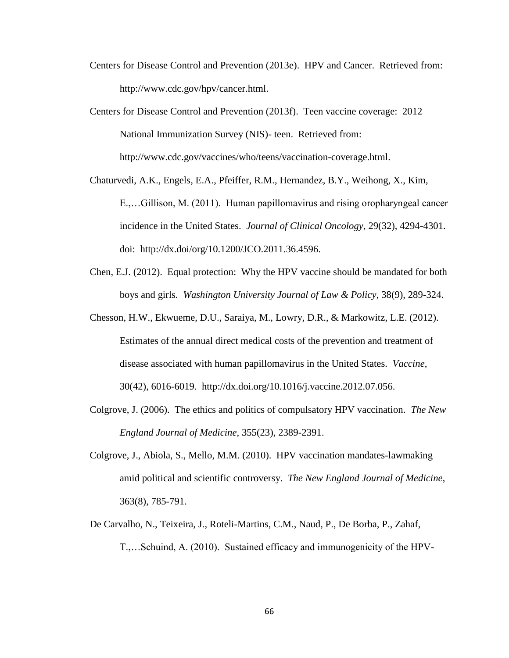- Centers for Disease Control and Prevention (2013e). HPV and Cancer. Retrieved from: http://www.cdc.gov/hpv/cancer.html.
- Centers for Disease Control and Prevention (2013f). Teen vaccine coverage: 2012 National Immunization Survey (NIS)- teen. Retrieved from: http://www.cdc.gov/vaccines/who/teens/vaccination-coverage.html.
- Chaturvedi, A.K., Engels, E.A., Pfeiffer, R.M., Hernandez, B.Y., Weihong, X., Kim, E.,…Gillison, M. (2011). Human papillomavirus and rising oropharyngeal cancer incidence in the United States. *Journal of Clinical Oncology*, 29(32), 4294-4301. doi: http://dx.doi/org/10.1200/JCO.2011.36.4596.
- Chen, E.J. (2012). Equal protection: Why the HPV vaccine should be mandated for both boys and girls. *Washington University Journal of Law & Policy*, 38(9), 289-324.
- Chesson, H.W., Ekwueme, D.U., Saraiya, M., Lowry, D.R., & Markowitz, L.E. (2012). Estimates of the annual direct medical costs of the prevention and treatment of disease associated with human papillomavirus in the United States. *Vaccine*, 30(42), 6016-6019. http://dx.doi.org/10.1016/j.vaccine.2012.07.056.
- Colgrove, J. (2006). The ethics and politics of compulsatory HPV vaccination. *The New England Journal of Medicine*, 355(23), 2389-2391.
- Colgrove, J., Abiola, S., Mello, M.M. (2010). HPV vaccination mandates-lawmaking amid political and scientific controversy. *The New England Journal of Medicine*, 363(8), 785-791.
- De Carvalho, N., Teixeira, J., Roteli-Martins, C.M., Naud, P., De Borba, P., Zahaf, T.,…Schuind, A. (2010). Sustained efficacy and immunogenicity of the HPV-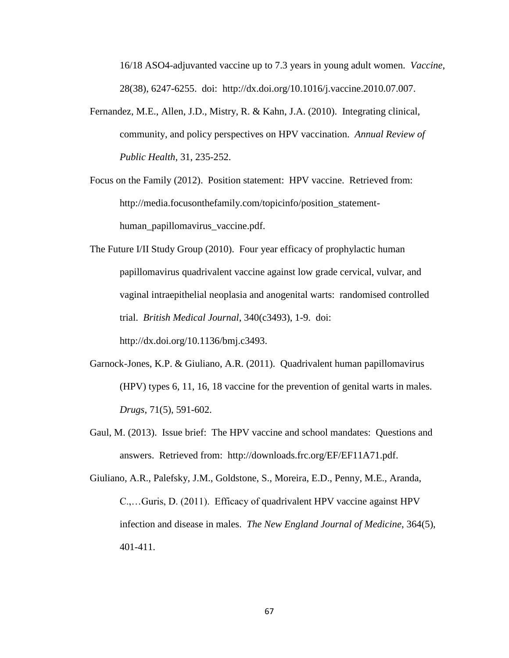16/18 ASO4-adjuvanted vaccine up to 7.3 years in young adult women. *Vaccine*, 28(38), 6247-6255. doi: http://dx.doi.org/10.1016/j.vaccine.2010.07.007.

Fernandez, M.E., Allen, J.D., Mistry, R. & Kahn, J.A. (2010). Integrating clinical, community, and policy perspectives on HPV vaccination. *Annual Review of Public Health*, 31, 235-252.

Focus on the Family (2012). Position statement: HPV vaccine. Retrieved from: http://media.focusonthefamily.com/topicinfo/position\_statementhuman papillomavirus vaccine.pdf.

The Future I/II Study Group (2010). Four year efficacy of prophylactic human papillomavirus quadrivalent vaccine against low grade cervical, vulvar, and vaginal intraepithelial neoplasia and anogenital warts: randomised controlled trial. *British Medical Journal*, 340(c3493), 1-9. doi: http://dx.doi.org/10.1136/bmj.c3493.

- Garnock-Jones, K.P. & Giuliano, A.R. (2011). Quadrivalent human papillomavirus (HPV) types 6, 11, 16, 18 vaccine for the prevention of genital warts in males. *Drugs*, 71(5), 591-602.
- Gaul, M. (2013). Issue brief: The HPV vaccine and school mandates: Questions and answers. Retrieved from: http://downloads.frc.org/EF/EF11A71.pdf.

Giuliano, A.R., Palefsky, J.M., Goldstone, S., Moreira, E.D., Penny, M.E., Aranda, C.,…Guris, D. (2011). Efficacy of quadrivalent HPV vaccine against HPV infection and disease in males. *The New England Journal of Medicine*, 364(5), 401-411.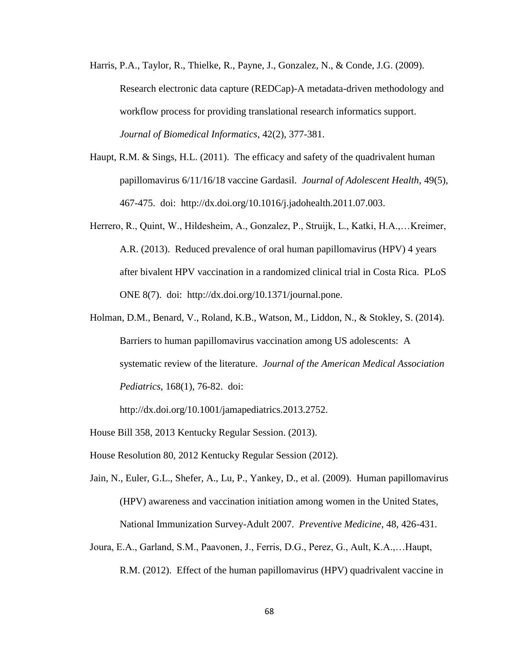- Harris, P.A., Taylor, R., Thielke, R., Payne, J., Gonzalez, N., & Conde, J.G. (2009). Research electronic data capture (REDCap)-A metadata-driven methodology and workflow process for providing translational research informatics support. *Journal of Biomedical Informatics*, 42(2), 377-381.
- Haupt, R.M. & Sings, H.L. (2011). The efficacy and safety of the quadrivalent human papillomavirus 6/11/16/18 vaccine Gardasil. *Journal of Adolescent Health*, 49(5), 467-475. doi: http://dx.doi.org/10.1016/j.jadohealth.2011.07.003.
- Herrero, R., Quint, W., Hildesheim, A., Gonzalez, P., Struijk, L., Katki, H.A.,…Kreimer, A.R. (2013). Reduced prevalence of oral human papillomavirus (HPV) 4 years after bivalent HPV vaccination in a randomized clinical trial in Costa Rica. PLoS ONE 8(7). doi: http://dx.doi.org/10.1371/journal.pone.
- Holman, D.M., Benard, V., Roland, K.B., Watson, M., Liddon, N., & Stokley, S. (2014). Barriers to human papillomavirus vaccination among US adolescents: A systematic review of the literature. *Journal of the American Medical Association Pediatrics*, 168(1), 76-82. doi:

http://dx.doi.org/10.1001/jamapediatrics.2013.2752.

House Bill 358, 2013 Kentucky Regular Session. (2013).

House Resolution 80, 2012 Kentucky Regular Session (2012).

- Jain, N., Euler, G.L., Shefer, A., Lu, P., Yankey, D., et al. (2009). Human papillomavirus (HPV) awareness and vaccination initiation among women in the United States, National Immunization Survey-Adult 2007. *Preventive Medicine*, 48, 426-431.
- Joura, E.A., Garland, S.M., Paavonen, J., Ferris, D.G., Perez, G., Ault, K.A.,…Haupt, R.M. (2012). Effect of the human papillomavirus (HPV) quadrivalent vaccine in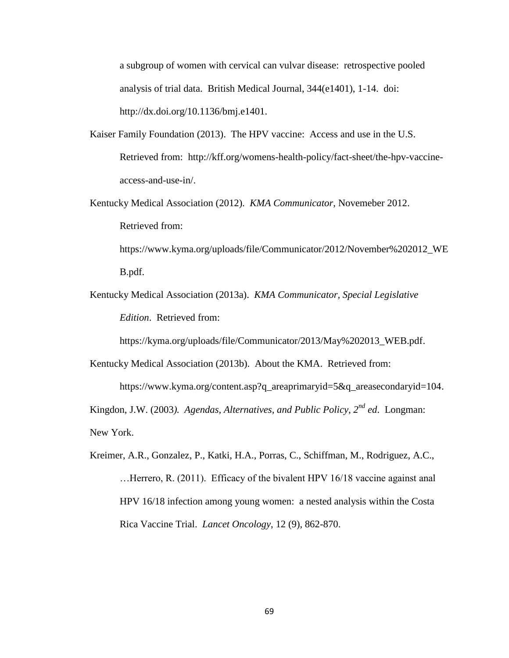a subgroup of women with cervical can vulvar disease: retrospective pooled analysis of trial data. British Medical Journal, 344(e1401), 1-14. doi: http://dx.doi.org/10.1136/bmj.e1401.

- Kaiser Family Foundation (2013). The HPV vaccine: Access and use in the U.S. Retrieved from: http://kff.org/womens-health-policy/fact-sheet/the-hpv-vaccineaccess-and-use-in/.
- Kentucky Medical Association (2012). *KMA Communicator*, Novemeber 2012. Retrieved from: https://www.kyma.org/uploads/file/Communicator/2012/November%202012\_WE

B.pdf.

Kentucky Medical Association (2013a). *KMA Communicator, Special Legislative Edition*. Retrieved from:

https://kyma.org/uploads/file/Communicator/2013/May%202013\_WEB.pdf.

Kentucky Medical Association (2013b). About the KMA. Retrieved from: https://www.kyma.org/content.asp?q\_areaprimaryid=5&q\_areasecondaryid=104.

Kingdon, J.W. (2003*). Agendas, Alternatives, and Public Policy, 2nd ed*. Longman:

New York.

Kreimer, A.R., Gonzalez, P., Katki, H.A., Porras, C., Schiffman, M., Rodriguez, A.C., …Herrero, R. (2011). Efficacy of the bivalent HPV 16/18 vaccine against anal HPV 16/18 infection among young women: a nested analysis within the Costa Rica Vaccine Trial. *Lancet Oncology*, 12 (9), 862-870.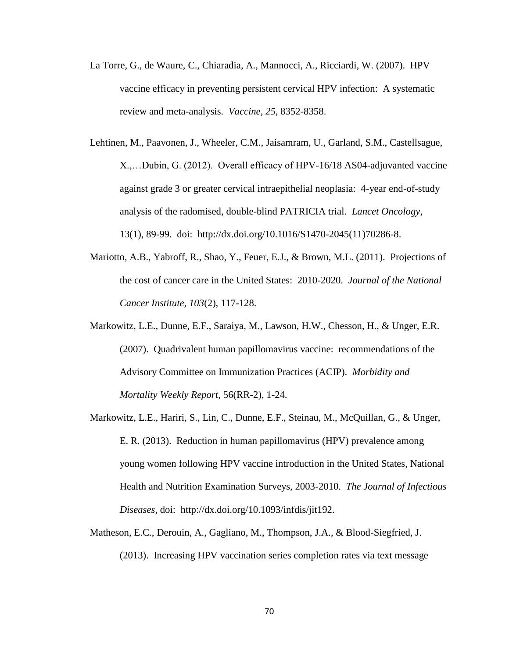- La Torre, G., de Waure, C., Chiaradia, A., Mannocci, A., Ricciardi, W. (2007). HPV vaccine efficacy in preventing persistent cervical HPV infection: A systematic review and meta-analysis. *Vaccine, 25*, 8352-8358.
- Lehtinen, M., Paavonen, J., Wheeler, C.M., Jaisamram, U., Garland, S.M., Castellsague, X.,…Dubin, G. (2012). Overall efficacy of HPV-16/18 AS04-adjuvanted vaccine against grade 3 or greater cervical intraepithelial neoplasia: 4-year end-of-study analysis of the radomised, double-blind PATRICIA trial. *Lancet Oncology*, 13(1), 89-99. doi: http://dx.doi.org/10.1016/S1470-2045(11)70286-8.
- Mariotto, A.B., Yabroff, R., Shao, Y., Feuer, E.J., & Brown, M.L. (2011). Projections of the cost of cancer care in the United States: 2010-2020. *Journal of the National Cancer Institute, 103*(2), 117-128.
- Markowitz, L.E., Dunne, E.F., Saraiya, M., Lawson, H.W., Chesson, H., & Unger, E.R. (2007). Quadrivalent human papillomavirus vaccine: recommendations of the Advisory Committee on Immunization Practices (ACIP). *Morbidity and Mortality Weekly Report*, 56(RR-2), 1-24.
- Markowitz, L.E., Hariri, S., Lin, C., Dunne, E.F., Steinau, M., McQuillan, G., & Unger, E. R. (2013). Reduction in human papillomavirus (HPV) prevalence among young women following HPV vaccine introduction in the United States, National Health and Nutrition Examination Surveys, 2003-2010. *The Journal of Infectious Diseases*, doi: http://dx.doi.org/10.1093/infdis/jit192.
- Matheson, E.C., Derouin, A., Gagliano, M., Thompson, J.A., & Blood-Siegfried, J. (2013). Increasing HPV vaccination series completion rates via text message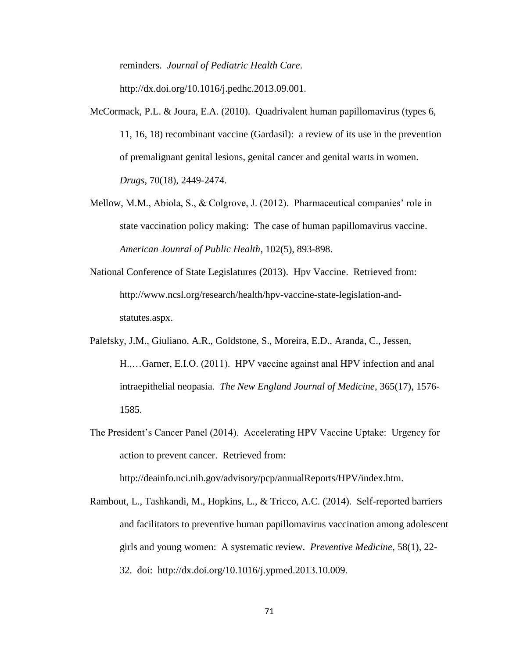reminders. *Journal of Pediatric Health Care*.

http://dx.doi.org/10.1016/j.pedhc.2013.09.001.

- McCormack, P.L. & Joura, E.A. (2010). Quadrivalent human papillomavirus (types 6, 11, 16, 18) recombinant vaccine (Gardasil): a review of its use in the prevention of premalignant genital lesions, genital cancer and genital warts in women. *Drugs*, 70(18), 2449-2474.
- Mellow, M.M., Abiola, S., & Colgrove, J. (2012). Pharmaceutical companies' role in state vaccination policy making: The case of human papillomavirus vaccine. *American Jounral of Public Health*, 102(5), 893-898.
- National Conference of State Legislatures (2013). Hpv Vaccine. Retrieved from: http://www.ncsl.org/research/health/hpv-vaccine-state-legislation-andstatutes.aspx.
- Palefsky, J.M., Giuliano, A.R., Goldstone, S., Moreira, E.D., Aranda, C., Jessen, H.,…Garner, E.I.O. (2011). HPV vaccine against anal HPV infection and anal intraepithelial neopasia. *The New England Journal of Medicine*, 365(17), 1576- 1585.
- The President's Cancer Panel (2014). Accelerating HPV Vaccine Uptake: Urgency for action to prevent cancer. Retrieved from:

http://deainfo.nci.nih.gov/advisory/pcp/annualReports/HPV/index.htm.

Rambout, L., Tashkandi, M., Hopkins, L., & Tricco, A.C. (2014). Self-reported barriers and facilitators to preventive human papillomavirus vaccination among adolescent girls and young women: A systematic review. *Preventive Medicine*, 58(1), 22- 32. doi: http://dx.doi.org/10.1016/j.ypmed.2013.10.009.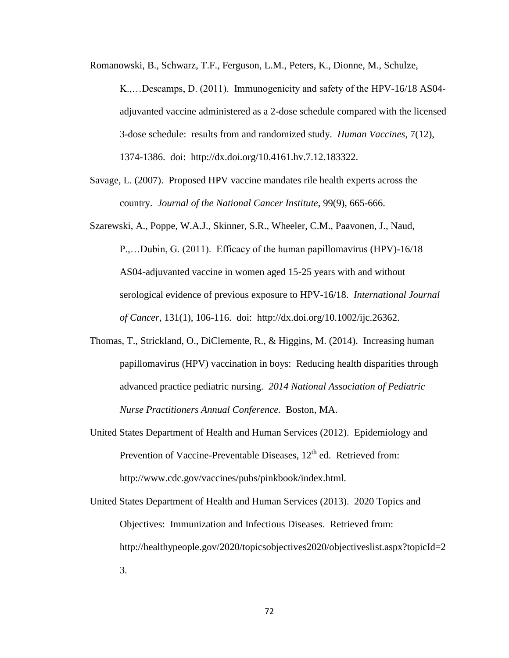Romanowski, B., Schwarz, T.F., Ferguson, L.M., Peters, K., Dionne, M., Schulze,

K.,…Descamps, D. (2011). Immunogenicity and safety of the HPV-16/18 AS04 adjuvanted vaccine administered as a 2-dose schedule compared with the licensed 3-dose schedule: results from and randomized study. *Human Vaccines*, 7(12), 1374-1386. doi: http://dx.doi.org/10.4161.hv.7.12.183322.

- Savage, L. (2007). Proposed HPV vaccine mandates rile health experts across the country. *Journal of the National Cancer Institute*, 99(9), 665-666.
- Szarewski, A., Poppe, W.A.J., Skinner, S.R., Wheeler, C.M., Paavonen, J., Naud, P.,…Dubin, G. (2011). Efficacy of the human papillomavirus (HPV)-16/18 AS04-adjuvanted vaccine in women aged 15-25 years with and without serological evidence of previous exposure to HPV-16/18. *International Journal of Cancer*, 131(1), 106-116. doi: http://dx.doi.org/10.1002/ijc.26362.
- Thomas, T., Strickland, O., DiClemente, R., & Higgins, M. (2014). Increasing human papillomavirus (HPV) vaccination in boys: Reducing health disparities through advanced practice pediatric nursing. *2014 National Association of Pediatric Nurse Practitioners Annual Conference.* Boston, MA.
- United States Department of Health and Human Services (2012). Epidemiology and Prevention of Vaccine-Preventable Diseases,  $12<sup>th</sup>$  ed. Retrieved from: http://www.cdc.gov/vaccines/pubs/pinkbook/index.html.
- United States Department of Health and Human Services (2013). 2020 Topics and Objectives: Immunization and Infectious Diseases. Retrieved from: http://healthypeople.gov/2020/topicsobjectives2020/objectiveslist.aspx?topicId=2 3.